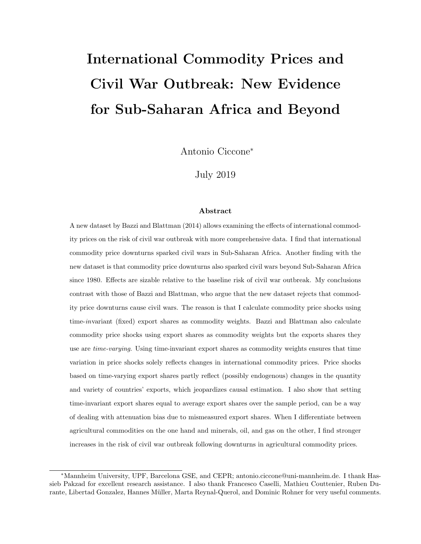# International Commodity Prices and Civil War Outbreak: New Evidence for Sub-Saharan Africa and Beyond

Antonio Ciccone<sup>∗</sup>

July 2019

#### Abstract

A new dataset by Bazzi and Blattman (2014) allows examining the effects of international commodity prices on the risk of civil war outbreak with more comprehensive data. I find that international commodity price downturns sparked civil wars in Sub-Saharan Africa. Another finding with the new dataset is that commodity price downturns also sparked civil wars beyond Sub-Saharan Africa since 1980. Effects are sizable relative to the baseline risk of civil war outbreak. My conclusions contrast with those of Bazzi and Blattman, who argue that the new dataset rejects that commodity price downturns cause civil wars. The reason is that I calculate commodity price shocks using time-invariant (fixed) export shares as commodity weights. Bazzi and Blattman also calculate commodity price shocks using export shares as commodity weights but the exports shares they use are time-varying. Using time-invariant export shares as commodity weights ensures that time variation in price shocks solely reflects changes in international commodity prices. Price shocks based on time-varying export shares partly reflect (possibly endogenous) changes in the quantity and variety of countries' exports, which jeopardizes causal estimation. I also show that setting time-invariant export shares equal to average export shares over the sample period, can be a way of dealing with attenuation bias due to mismeasured export shares. When I differentiate between agricultural commodities on the one hand and minerals, oil, and gas on the other, I find stronger increases in the risk of civil war outbreak following downturns in agricultural commodity prices.

<sup>∗</sup>Mannheim University, UPF, Barcelona GSE, and CEPR; antonio.ciccone@uni-mannheim.de. I thank Hassieb Pakzad for excellent research assistance. I also thank Francesco Caselli, Mathieu Couttenier, Ruben Durante, Libertad Gonzalez, Hannes Müller, Marta Reynal-Querol, and Dominic Rohner for very useful comments.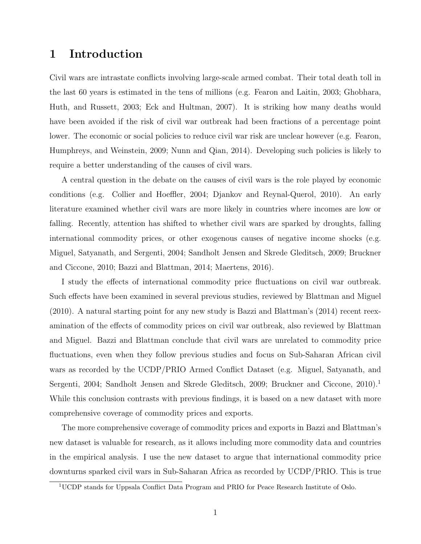# 1 Introduction

Civil wars are intrastate conflicts involving large-scale armed combat. Their total death toll in the last 60 years is estimated in the tens of millions (e.g. Fearon and Laitin, 2003; Ghobhara, Huth, and Russett, 2003; Eck and Hultman, 2007). It is striking how many deaths would have been avoided if the risk of civil war outbreak had been fractions of a percentage point lower. The economic or social policies to reduce civil war risk are unclear however (e.g. Fearon, Humphreys, and Weinstein, 2009; Nunn and Qian, 2014). Developing such policies is likely to require a better understanding of the causes of civil wars.

A central question in the debate on the causes of civil wars is the role played by economic conditions (e.g. Collier and Hoeffler, 2004; Djankov and Reynal-Querol, 2010). An early literature examined whether civil wars are more likely in countries where incomes are low or falling. Recently, attention has shifted to whether civil wars are sparked by droughts, falling international commodity prices, or other exogenous causes of negative income shocks (e.g. Miguel, Satyanath, and Sergenti, 2004; Sandholt Jensen and Skrede Gleditsch, 2009; Bruckner and Ciccone, 2010; Bazzi and Blattman, 2014; Maertens, 2016).

I study the effects of international commodity price fluctuations on civil war outbreak. Such effects have been examined in several previous studies, reviewed by Blattman and Miguel (2010). A natural starting point for any new study is Bazzi and Blattman's (2014) recent reexamination of the effects of commodity prices on civil war outbreak, also reviewed by Blattman and Miguel. Bazzi and Blattman conclude that civil wars are unrelated to commodity price fluctuations, even when they follow previous studies and focus on Sub-Saharan African civil wars as recorded by the UCDP/PRIO Armed Conflict Dataset (e.g. Miguel, Satyanath, and Sergenti, 2004; Sandholt Jensen and Skrede Gleditsch, 2009; Bruckner and Ciccone, 2010).<sup>1</sup> While this conclusion contrasts with previous findings, it is based on a new dataset with more comprehensive coverage of commodity prices and exports.

The more comprehensive coverage of commodity prices and exports in Bazzi and Blattman's new dataset is valuable for research, as it allows including more commodity data and countries in the empirical analysis. I use the new dataset to argue that international commodity price downturns sparked civil wars in Sub-Saharan Africa as recorded by UCDP/PRIO. This is true

<sup>1</sup>UCDP stands for Uppsala Conflict Data Program and PRIO for Peace Research Institute of Oslo.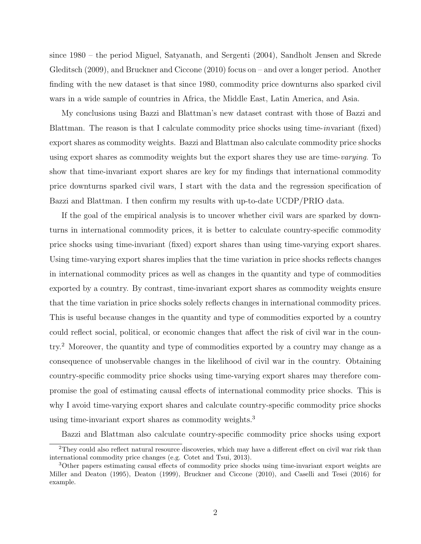since 1980 – the period Miguel, Satyanath, and Sergenti (2004), Sandholt Jensen and Skrede Gleditsch (2009), and Bruckner and Ciccone (2010) focus on – and over a longer period. Another finding with the new dataset is that since 1980, commodity price downturns also sparked civil wars in a wide sample of countries in Africa, the Middle East, Latin America, and Asia.

My conclusions using Bazzi and Blattman's new dataset contrast with those of Bazzi and Blattman. The reason is that I calculate commodity price shocks using time-invariant (fixed) export shares as commodity weights. Bazzi and Blattman also calculate commodity price shocks using export shares as commodity weights but the export shares they use are time-varying. To show that time-invariant export shares are key for my findings that international commodity price downturns sparked civil wars, I start with the data and the regression specification of Bazzi and Blattman. I then confirm my results with up-to-date UCDP/PRIO data.

If the goal of the empirical analysis is to uncover whether civil wars are sparked by downturns in international commodity prices, it is better to calculate country-specific commodity price shocks using time-invariant (fixed) export shares than using time-varying export shares. Using time-varying export shares implies that the time variation in price shocks reflects changes in international commodity prices as well as changes in the quantity and type of commodities exported by a country. By contrast, time-invariant export shares as commodity weights ensure that the time variation in price shocks solely reflects changes in international commodity prices. This is useful because changes in the quantity and type of commodities exported by a country could reflect social, political, or economic changes that affect the risk of civil war in the country.<sup>2</sup> Moreover, the quantity and type of commodities exported by a country may change as a consequence of unobservable changes in the likelihood of civil war in the country. Obtaining country-specific commodity price shocks using time-varying export shares may therefore compromise the goal of estimating causal effects of international commodity price shocks. This is why I avoid time-varying export shares and calculate country-specific commodity price shocks using time-invariant export shares as commodity weights.<sup>3</sup>

Bazzi and Blattman also calculate country-specific commodity price shocks using export

<sup>2</sup>They could also reflect natural resource discoveries, which may have a different effect on civil war risk than international commodity price changes (e.g. Cotet and Tsui, 2013).

<sup>3</sup>Other papers estimating causal effects of commodity price shocks using time-invariant export weights are Miller and Deaton (1995), Deaton (1999), Bruckner and Ciccone (2010), and Caselli and Tesei (2016) for example.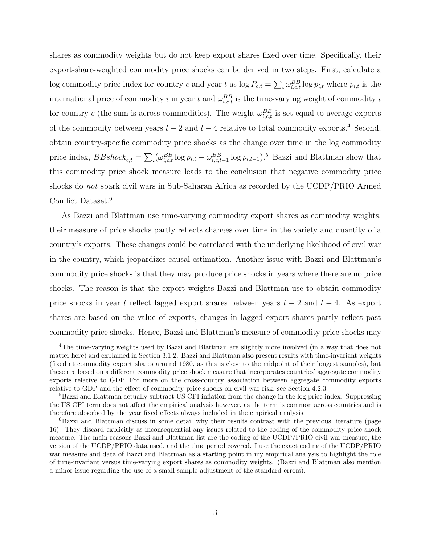shares as commodity weights but do not keep export shares fixed over time. Specifically, their export-share-weighted commodity price shocks can be derived in two steps. First, calculate a log commodity price index for country c and year t as  $\log P_{c,t} = \sum_i \omega_{i,c,t}^{BB} \log p_{i,t}$  where  $p_{i,t}$  is the international price of commodity i in year t and  $\omega_{i,c,t}^{BB}$  is the time-varying weight of commodity i for country c (the sum is across commodities). The weight  $\omega_{i,c,t}^{BB}$  is set equal to average exports of the commodity between years  $t-2$  and  $t-4$  relative to total commodity exports.<sup>4</sup> Second, obtain country-specific commodity price shocks as the change over time in the log commodity price index,  $BBshock_{c,t} = \sum_{i} (\omega_{i,c,t}^{BB} \log p_{i,t} - \omega_{i,c,t-1}^{BB} \log p_{i,t-1})$ .<sup>5</sup> Bazzi and Blattman show that this commodity price shock measure leads to the conclusion that negative commodity price shocks do not spark civil wars in Sub-Saharan Africa as recorded by the UCDP/PRIO Armed Conflict Dataset.<sup>6</sup>

As Bazzi and Blattman use time-varying commodity export shares as commodity weights, their measure of price shocks partly reflects changes over time in the variety and quantity of a country's exports. These changes could be correlated with the underlying likelihood of civil war in the country, which jeopardizes causal estimation. Another issue with Bazzi and Blattman's commodity price shocks is that they may produce price shocks in years where there are no price shocks. The reason is that the export weights Bazzi and Blattman use to obtain commodity price shocks in year t reflect lagged export shares between years  $t - 2$  and  $t - 4$ . As export shares are based on the value of exports, changes in lagged export shares partly reflect past commodity price shocks. Hence, Bazzi and Blattman's measure of commodity price shocks may

<sup>&</sup>lt;sup>4</sup>The time-varying weights used by Bazzi and Blattman are slightly more involved (in a way that does not matter here) and explained in Section 3.1.2. Bazzi and Blattman also present results with time-invariant weights (fixed at commodity export shares around 1980, as this is close to the midpoint of their longest samples), but these are based on a different commodity price shock measure that incorporates countries' aggregate commodity exports relative to GDP. For more on the cross-country association between aggregate commodity exports relative to GDP and the effect of commodity price shocks on civil war risk, see Section 4.2.3.

<sup>&</sup>lt;sup>5</sup>Bazzi and Blattman actually subtract US CPI inflation from the change in the log price index. Suppressing the US CPI term does not affect the empirical analysis however, as the term is common across countries and is therefore absorbed by the year fixed effects always included in the empirical analysis.

<sup>6</sup>Bazzi and Blattman discuss in some detail why their results contrast with the previous literature (page 16). They discard explicitly as inconsequential any issues related to the coding of the commodity price shock measure. The main reasons Bazzi and Blattman list are the coding of the UCDP/PRIO civil war measure, the version of the UCDP/PRIO data used, and the time period covered. I use the exact coding of the UCDP/PRIO war measure and data of Bazzi and Blattman as a starting point in my empirical analysis to highlight the role of time-invariant versus time-varying export shares as commodity weights. (Bazzi and Blattman also mention a minor issue regarding the use of a small-sample adjustment of the standard errors).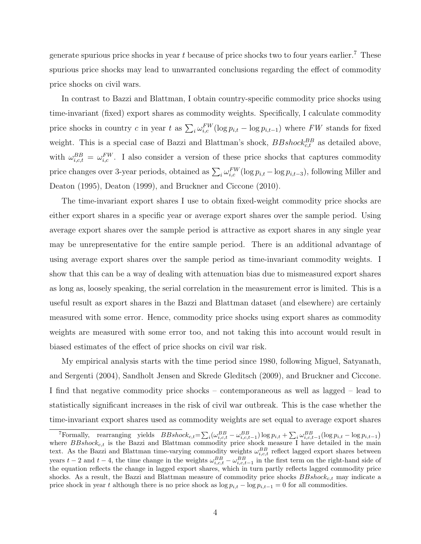generate spurious price shocks in year t because of price shocks two to four years earlier.<sup>7</sup> These spurious price shocks may lead to unwarranted conclusions regarding the effect of commodity price shocks on civil wars.

In contrast to Bazzi and Blattman, I obtain country-specific commodity price shocks using time-invariant (fixed) export shares as commodity weights. Specifically, I calculate commodity price shocks in country c in year t as  $\sum_i \omega_{i,c}^{FW}(\log p_{i,t} - \log p_{i,t-1})$  where FW stands for fixed weight. This is a special case of Bazzi and Blattman's shock,  $BBshock_{c,t}^{BB}$  as detailed above, with  $\omega_{i,c,t}^{BB} = \omega_{i,c}^{FW}$ . I also consider a version of these price shocks that captures commodity price changes over 3-year periods, obtained as  $\sum_i \omega_{i,c}^{FW}(\log p_{i,t} - \log p_{i,t-3})$ , following Miller and Deaton (1995), Deaton (1999), and Bruckner and Ciccone (2010).

The time-invariant export shares I use to obtain fixed-weight commodity price shocks are either export shares in a specific year or average export shares over the sample period. Using average export shares over the sample period is attractive as export shares in any single year may be unrepresentative for the entire sample period. There is an additional advantage of using average export shares over the sample period as time-invariant commodity weights. I show that this can be a way of dealing with attenuation bias due to mismeasured export shares as long as, loosely speaking, the serial correlation in the measurement error is limited. This is a useful result as export shares in the Bazzi and Blattman dataset (and elsewhere) are certainly measured with some error. Hence, commodity price shocks using export shares as commodity weights are measured with some error too, and not taking this into account would result in biased estimates of the effect of price shocks on civil war risk.

My empirical analysis starts with the time period since 1980, following Miguel, Satyanath, and Sergenti (2004), Sandholt Jensen and Skrede Gleditsch (2009), and Bruckner and Ciccone. I find that negative commodity price shocks – contemporaneous as well as lagged – lead to statistically significant increases in the risk of civil war outbreak. This is the case whether the time-invariant export shares used as commodity weights are set equal to average export shares

<sup>&</sup>lt;sup>7</sup>Formally, rearranging yields  $BBshock_{c,t} = \sum_i (\omega_{i,c,t}^{BB} - \omega_{i,c,t-1}^{BB}) \log p_{i,t} + \sum_i \omega_{i,c,t-1}^{BB} (\log p_{i,t} - \log p_{i,t-1})$ where  $BBshock_{c,t}$  is the Bazzi and Blattman commodity price shock measure I have detailed in the main text. As the Bazzi and Blattman time-varying commodity weights  $\omega_{i,c,t}^{BB}$  reflect lagged export shares between years  $t-2$  and  $t-4$ , the time change in the weights  $\omega_{i,c,t}^{BB} - \omega_{i,c,t-1}^{BB}$  in the first term on the right-hand side of the equation reflects the change in lagged export shares, which in turn partly reflects lagged commodity price shocks. As a result, the Bazzi and Blattman measure of commodity price shocks  $BBshock_{c,t}$  may indicate a price shock in year t although there is no price shock as  $\log p_{i,t} - \log p_{i,t-1} = 0$  for all commodities.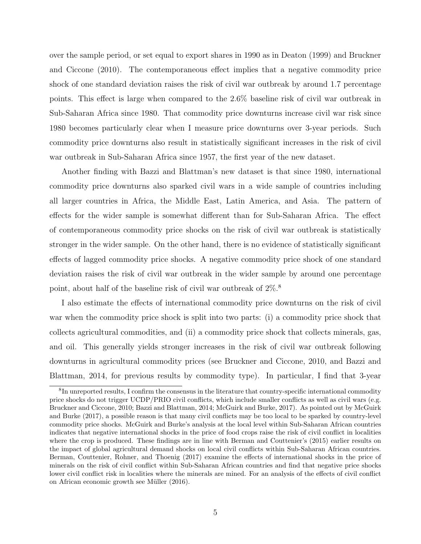over the sample period, or set equal to export shares in 1990 as in Deaton (1999) and Bruckner and Ciccone (2010). The contemporaneous effect implies that a negative commodity price shock of one standard deviation raises the risk of civil war outbreak by around 1.7 percentage points. This effect is large when compared to the 2.6% baseline risk of civil war outbreak in Sub-Saharan Africa since 1980. That commodity price downturns increase civil war risk since 1980 becomes particularly clear when I measure price downturns over 3-year periods. Such commodity price downturns also result in statistically significant increases in the risk of civil war outbreak in Sub-Saharan Africa since 1957, the first year of the new dataset.

Another finding with Bazzi and Blattman's new dataset is that since 1980, international commodity price downturns also sparked civil wars in a wide sample of countries including all larger countries in Africa, the Middle East, Latin America, and Asia. The pattern of effects for the wider sample is somewhat different than for Sub-Saharan Africa. The effect of contemporaneous commodity price shocks on the risk of civil war outbreak is statistically stronger in the wider sample. On the other hand, there is no evidence of statistically significant effects of lagged commodity price shocks. A negative commodity price shock of one standard deviation raises the risk of civil war outbreak in the wider sample by around one percentage point, about half of the baseline risk of civil war outbreak of 2%.<sup>8</sup>

I also estimate the effects of international commodity price downturns on the risk of civil war when the commodity price shock is split into two parts: (i) a commodity price shock that collects agricultural commodities, and (ii) a commodity price shock that collects minerals, gas, and oil. This generally yields stronger increases in the risk of civil war outbreak following downturns in agricultural commodity prices (see Bruckner and Ciccone, 2010, and Bazzi and Blattman, 2014, for previous results by commodity type). In particular, I find that 3-year

<sup>&</sup>lt;sup>8</sup>In unreported results, I confirm the consensus in the literature that country-specific international commodity price shocks do not trigger UCDP/PRIO civil conflicts, which include smaller conflicts as well as civil wars (e.g. Bruckner and Ciccone, 2010; Bazzi and Blattman, 2014; McGuirk and Burke, 2017). As pointed out by McGuirk and Burke (2017), a possible reason is that many civil conflicts may be too local to be sparked by country-level commodity price shocks. McGuirk and Burke's analysis at the local level within Sub-Saharan African countries indicates that negative international shocks in the price of food crops raise the risk of civil conflict in localities where the crop is produced. These findings are in line with Berman and Couttenier's (2015) earlier results on the impact of global agricultural demand shocks on local civil conflicts within Sub-Saharan African countries. Berman, Couttenier, Rohner, and Thoenig (2017) examine the effects of international shocks in the price of minerals on the risk of civil conflict within Sub-Saharan African countries and find that negative price shocks lower civil conflict risk in localities where the minerals are mined. For an analysis of the effects of civil conflict on African economic growth see Müller (2016).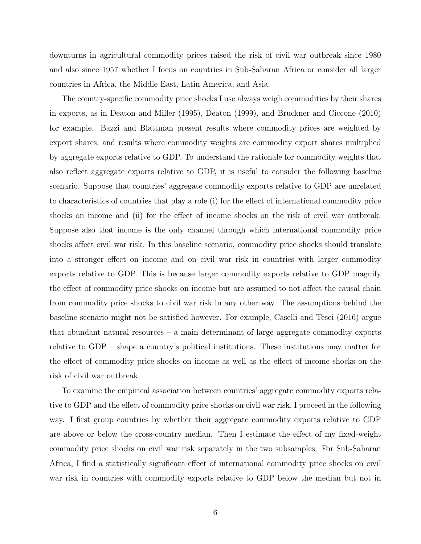downturns in agricultural commodity prices raised the risk of civil war outbreak since 1980 and also since 1957 whether I focus on countries in Sub-Saharan Africa or consider all larger countries in Africa, the Middle East, Latin America, and Asia.

The country-specific commodity price shocks I use always weigh commodities by their shares in exports, as in Deaton and Miller (1995), Deaton (1999), and Bruckner and Ciccone (2010) for example. Bazzi and Blattman present results where commodity prices are weighted by export shares, and results where commodity weights are commodity export shares multiplied by aggregate exports relative to GDP. To understand the rationale for commodity weights that also reflect aggregate exports relative to GDP, it is useful to consider the following baseline scenario. Suppose that countries' aggregate commodity exports relative to GDP are unrelated to characteristics of countries that play a role (i) for the effect of international commodity price shocks on income and (ii) for the effect of income shocks on the risk of civil war outbreak. Suppose also that income is the only channel through which international commodity price shocks affect civil war risk. In this baseline scenario, commodity price shocks should translate into a stronger effect on income and on civil war risk in countries with larger commodity exports relative to GDP. This is because larger commodity exports relative to GDP magnify the effect of commodity price shocks on income but are assumed to not affect the causal chain from commodity price shocks to civil war risk in any other way. The assumptions behind the baseline scenario might not be satisfied however. For example, Caselli and Tesei (2016) argue that abundant natural resources – a main determinant of large aggregate commodity exports relative to GDP – shape a country's political institutions. These institutions may matter for the effect of commodity price shocks on income as well as the effect of income shocks on the risk of civil war outbreak.

To examine the empirical association between countries' aggregate commodity exports relative to GDP and the effect of commodity price shocks on civil war risk, I proceed in the following way. I first group countries by whether their aggregate commodity exports relative to GDP are above or below the cross-country median. Then I estimate the effect of my fixed-weight commodity price shocks on civil war risk separately in the two subsamples. For Sub-Saharan Africa, I find a statistically significant effect of international commodity price shocks on civil war risk in countries with commodity exports relative to GDP below the median but not in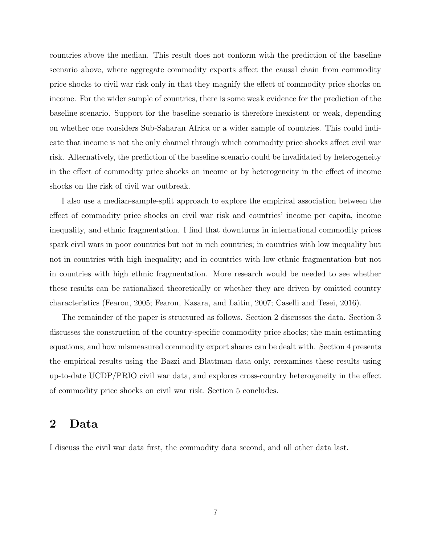countries above the median. This result does not conform with the prediction of the baseline scenario above, where aggregate commodity exports affect the causal chain from commodity price shocks to civil war risk only in that they magnify the effect of commodity price shocks on income. For the wider sample of countries, there is some weak evidence for the prediction of the baseline scenario. Support for the baseline scenario is therefore inexistent or weak, depending on whether one considers Sub-Saharan Africa or a wider sample of countries. This could indicate that income is not the only channel through which commodity price shocks affect civil war risk. Alternatively, the prediction of the baseline scenario could be invalidated by heterogeneity in the effect of commodity price shocks on income or by heterogeneity in the effect of income shocks on the risk of civil war outbreak.

I also use a median-sample-split approach to explore the empirical association between the effect of commodity price shocks on civil war risk and countries' income per capita, income inequality, and ethnic fragmentation. I find that downturns in international commodity prices spark civil wars in poor countries but not in rich countries; in countries with low inequality but not in countries with high inequality; and in countries with low ethnic fragmentation but not in countries with high ethnic fragmentation. More research would be needed to see whether these results can be rationalized theoretically or whether they are driven by omitted country characteristics (Fearon, 2005; Fearon, Kasara, and Laitin, 2007; Caselli and Tesei, 2016).

The remainder of the paper is structured as follows. Section 2 discusses the data. Section 3 discusses the construction of the country-specific commodity price shocks; the main estimating equations; and how mismeasured commodity export shares can be dealt with. Section 4 presents the empirical results using the Bazzi and Blattman data only, reexamines these results using up-to-date UCDP/PRIO civil war data, and explores cross-country heterogeneity in the effect of commodity price shocks on civil war risk. Section 5 concludes.

# 2 Data

I discuss the civil war data first, the commodity data second, and all other data last.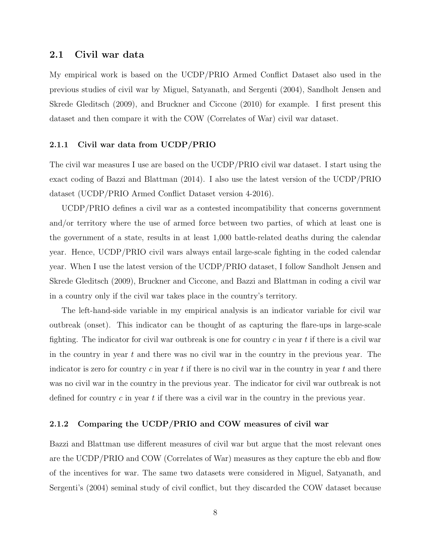### 2.1 Civil war data

My empirical work is based on the UCDP/PRIO Armed Conflict Dataset also used in the previous studies of civil war by Miguel, Satyanath, and Sergenti (2004), Sandholt Jensen and Skrede Gleditsch (2009), and Bruckner and Ciccone (2010) for example. I first present this dataset and then compare it with the COW (Correlates of War) civil war dataset.

#### 2.1.1 Civil war data from UCDP/PRIO

The civil war measures I use are based on the UCDP/PRIO civil war dataset. I start using the exact coding of Bazzi and Blattman (2014). I also use the latest version of the UCDP/PRIO dataset (UCDP/PRIO Armed Conflict Dataset version 4-2016).

UCDP/PRIO defines a civil war as a contested incompatibility that concerns government and/or territory where the use of armed force between two parties, of which at least one is the government of a state, results in at least 1,000 battle-related deaths during the calendar year. Hence, UCDP/PRIO civil wars always entail large-scale fighting in the coded calendar year. When I use the latest version of the UCDP/PRIO dataset, I follow Sandholt Jensen and Skrede Gleditsch (2009), Bruckner and Ciccone, and Bazzi and Blattman in coding a civil war in a country only if the civil war takes place in the country's territory.

The left-hand-side variable in my empirical analysis is an indicator variable for civil war outbreak (onset). This indicator can be thought of as capturing the flare-ups in large-scale fighting. The indicator for civil war outbreak is one for country  $c$  in year  $t$  if there is a civil war in the country in year  $t$  and there was no civil war in the country in the previous year. The indicator is zero for country c in year t if there is no civil war in the country in year t and there was no civil war in the country in the previous year. The indicator for civil war outbreak is not defined for country c in year t if there was a civil war in the country in the previous year.

#### 2.1.2 Comparing the UCDP/PRIO and COW measures of civil war

Bazzi and Blattman use different measures of civil war but argue that the most relevant ones are the UCDP/PRIO and COW (Correlates of War) measures as they capture the ebb and flow of the incentives for war. The same two datasets were considered in Miguel, Satyanath, and Sergenti's (2004) seminal study of civil conflict, but they discarded the COW dataset because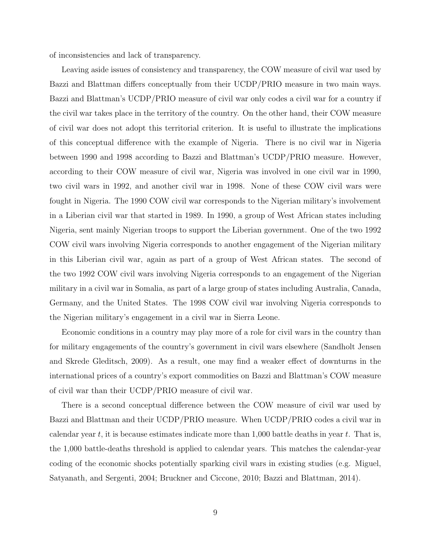of inconsistencies and lack of transparency.

Leaving aside issues of consistency and transparency, the COW measure of civil war used by Bazzi and Blattman differs conceptually from their UCDP/PRIO measure in two main ways. Bazzi and Blattman's UCDP/PRIO measure of civil war only codes a civil war for a country if the civil war takes place in the territory of the country. On the other hand, their COW measure of civil war does not adopt this territorial criterion. It is useful to illustrate the implications of this conceptual difference with the example of Nigeria. There is no civil war in Nigeria between 1990 and 1998 according to Bazzi and Blattman's UCDP/PRIO measure. However, according to their COW measure of civil war, Nigeria was involved in one civil war in 1990, two civil wars in 1992, and another civil war in 1998. None of these COW civil wars were fought in Nigeria. The 1990 COW civil war corresponds to the Nigerian military's involvement in a Liberian civil war that started in 1989. In 1990, a group of West African states including Nigeria, sent mainly Nigerian troops to support the Liberian government. One of the two 1992 COW civil wars involving Nigeria corresponds to another engagement of the Nigerian military in this Liberian civil war, again as part of a group of West African states. The second of the two 1992 COW civil wars involving Nigeria corresponds to an engagement of the Nigerian military in a civil war in Somalia, as part of a large group of states including Australia, Canada, Germany, and the United States. The 1998 COW civil war involving Nigeria corresponds to the Nigerian military's engagement in a civil war in Sierra Leone.

Economic conditions in a country may play more of a role for civil wars in the country than for military engagements of the country's government in civil wars elsewhere (Sandholt Jensen and Skrede Gleditsch, 2009). As a result, one may find a weaker effect of downturns in the international prices of a country's export commodities on Bazzi and Blattman's COW measure of civil war than their UCDP/PRIO measure of civil war.

There is a second conceptual difference between the COW measure of civil war used by Bazzi and Blattman and their UCDP/PRIO measure. When UCDP/PRIO codes a civil war in calendar year t, it is because estimates indicate more than 1,000 battle deaths in year t. That is, the 1,000 battle-deaths threshold is applied to calendar years. This matches the calendar-year coding of the economic shocks potentially sparking civil wars in existing studies (e.g. Miguel, Satyanath, and Sergenti, 2004; Bruckner and Ciccone, 2010; Bazzi and Blattman, 2014).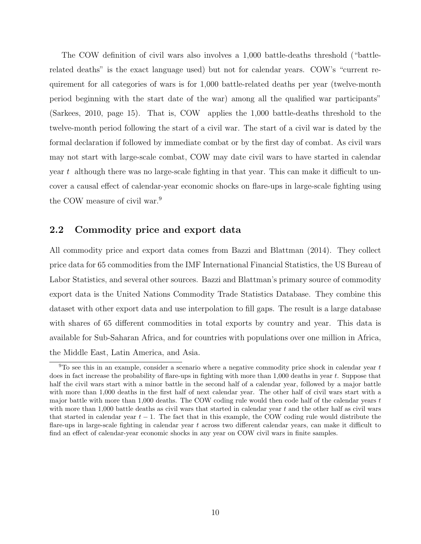The COW definition of civil wars also involves a 1,000 battle-deaths threshold ("battlerelated deaths" is the exact language used) but not for calendar years. COW's "current requirement for all categories of wars is for 1,000 battle-related deaths per year (twelve-month period beginning with the start date of the war) among all the qualified war participants" (Sarkees, 2010, page 15). That is, COW applies the 1,000 battle-deaths threshold to the twelve-month period following the start of a civil war. The start of a civil war is dated by the formal declaration if followed by immediate combat or by the first day of combat. As civil wars may not start with large-scale combat, COW may date civil wars to have started in calendar year t although there was no large-scale fighting in that year. This can make it difficult to uncover a causal effect of calendar-year economic shocks on flare-ups in large-scale fighting using the COW measure of civil war.<sup>9</sup>

### 2.2 Commodity price and export data

All commodity price and export data comes from Bazzi and Blattman (2014). They collect price data for 65 commodities from the IMF International Financial Statistics, the US Bureau of Labor Statistics, and several other sources. Bazzi and Blattman's primary source of commodity export data is the United Nations Commodity Trade Statistics Database. They combine this dataset with other export data and use interpolation to fill gaps. The result is a large database with shares of 65 different commodities in total exports by country and year. This data is available for Sub-Saharan Africa, and for countries with populations over one million in Africa, the Middle East, Latin America, and Asia.

 $9T$ o see this in an example, consider a scenario where a negative commodity price shock in calendar year t does in fact increase the probability of flare-ups in fighting with more than  $1,000$  deaths in year t. Suppose that half the civil wars start with a minor battle in the second half of a calendar year, followed by a major battle with more than 1,000 deaths in the first half of next calendar year. The other half of civil wars start with a major battle with more than 1,000 deaths. The COW coding rule would then code half of the calendar years t with more than 1,000 battle deaths as civil wars that started in calendar year  $t$  and the other half as civil wars that started in calendar year  $t - 1$ . The fact that in this example, the COW coding rule would distribute the flare-ups in large-scale fighting in calendar year  $t$  across two different calendar years, can make it difficult to find an effect of calendar-year economic shocks in any year on COW civil wars in finite samples.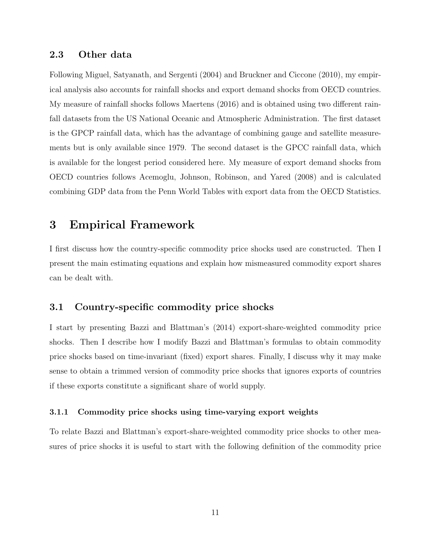### 2.3 Other data

Following Miguel, Satyanath, and Sergenti (2004) and Bruckner and Ciccone (2010), my empirical analysis also accounts for rainfall shocks and export demand shocks from OECD countries. My measure of rainfall shocks follows Maertens (2016) and is obtained using two different rainfall datasets from the US National Oceanic and Atmospheric Administration. The first dataset is the GPCP rainfall data, which has the advantage of combining gauge and satellite measurements but is only available since 1979. The second dataset is the GPCC rainfall data, which is available for the longest period considered here. My measure of export demand shocks from OECD countries follows Acemoglu, Johnson, Robinson, and Yared (2008) and is calculated combining GDP data from the Penn World Tables with export data from the OECD Statistics.

# 3 Empirical Framework

I first discuss how the country-specific commodity price shocks used are constructed. Then I present the main estimating equations and explain how mismeasured commodity export shares can be dealt with.

## 3.1 Country-specific commodity price shocks

I start by presenting Bazzi and Blattman's (2014) export-share-weighted commodity price shocks. Then I describe how I modify Bazzi and Blattman's formulas to obtain commodity price shocks based on time-invariant (fixed) export shares. Finally, I discuss why it may make sense to obtain a trimmed version of commodity price shocks that ignores exports of countries if these exports constitute a significant share of world supply.

#### 3.1.1 Commodity price shocks using time-varying export weights

To relate Bazzi and Blattman's export-share-weighted commodity price shocks to other measures of price shocks it is useful to start with the following definition of the commodity price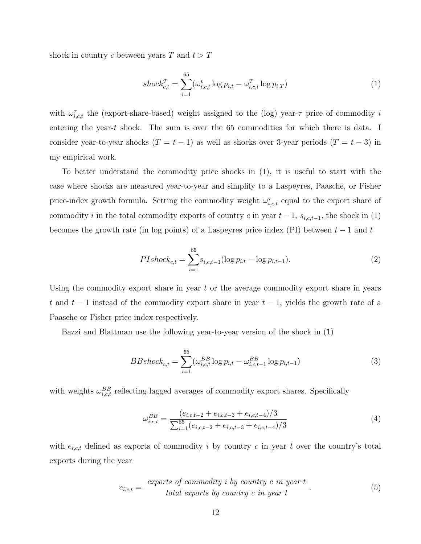shock in country c between years  $T$  and  $t > T$ 

$$
shock_{c,t}^T = \sum_{i=1}^{65} (\omega_{i,c,t}^t \log p_{i,t} - \omega_{i,c,t}^T \log p_{i,T})
$$
 (1)

with  $\omega_{i,c,t}^{\tau}$  the (export-share-based) weight assigned to the (log) year- $\tau$  price of commodity i entering the year-t shock. The sum is over the 65 commodities for which there is data. I consider year-to-year shocks  $(T = t - 1)$  as well as shocks over 3-year periods  $(T = t - 3)$  in my empirical work.

To better understand the commodity price shocks in (1), it is useful to start with the case where shocks are measured year-to-year and simplify to a Laspeyres, Paasche, or Fisher price-index growth formula. Setting the commodity weight  $\omega_{i,c,t}^{\tau}$  equal to the export share of commodity i in the total commodity exports of country c in year  $t-1$ ,  $s_{i,c,t-1}$ , the shock in (1) becomes the growth rate (in log points) of a Laspeyres price index (PI) between  $t-1$  and  $t$ 

$$
PIshock_{c,t} = \sum_{i=1}^{65} s_{i,c,t-1} (\log p_{i,t} - \log p_{i,t-1}).
$$
\n(2)

Using the commodity export share in year t or the average commodity export share in years t and  $t-1$  instead of the commodity export share in year  $t-1$ , yields the growth rate of a Paasche or Fisher price index respectively.

Bazzi and Blattman use the following year-to-year version of the shock in (1)

$$
BBshock_{c,t} = \sum_{i=1}^{65} (\omega_{i,c,t}^{BB} \log p_{i,t} - \omega_{i,c,t-1}^{BB} \log p_{i,t-1})
$$
(3)

with weights  $\omega_{i,c,t}^{BB}$  reflecting lagged averages of commodity export shares. Specifically

$$
\omega_{i,c,t}^{BB} = \frac{(e_{i,c,t-2} + e_{i,c,t-3} + e_{i,c,t-4})/3}{\sum_{i=1}^{65} (e_{i,c,t-2} + e_{i,c,t-3} + e_{i,c,t-4})/3}
$$
(4)

with  $e_{i,c,t}$  defined as exports of commodity i by country c in year t over the country's total exports during the year

$$
e_{i,c,t} = \frac{\text{exports of commodity } i \text{ by country } c \text{ in year } t}{\text{total exports by country } c \text{ in year } t}.
$$
\n
$$
(5)
$$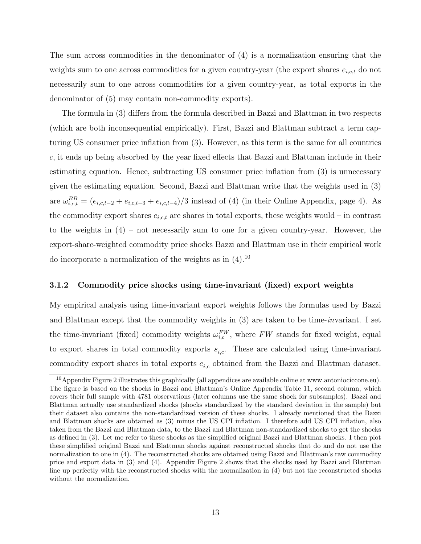The sum across commodities in the denominator of (4) is a normalization ensuring that the weights sum to one across commodities for a given country-year (the export shares  $e_{i,c,t}$  do not necessarily sum to one across commodities for a given country-year, as total exports in the denominator of (5) may contain non-commodity exports).

The formula in (3) differs from the formula described in Bazzi and Blattman in two respects (which are both inconsequential empirically). First, Bazzi and Blattman subtract a term capturing US consumer price inflation from (3). However, as this term is the same for all countries c, it ends up being absorbed by the year fixed effects that Bazzi and Blattman include in their estimating equation. Hence, subtracting US consumer price inflation from (3) is unnecessary given the estimating equation. Second, Bazzi and Blattman write that the weights used in (3) are  $\omega_{i,c,t}^{BB} = (e_{i,c,t-2} + e_{i,c,t-3} + e_{i,c,t-4})/3$  instead of (4) (in their Online Appendix, page 4). As the commodity export shares  $e_{i,c,t}$  are shares in total exports, these weights would – in contrast to the weights in (4) – not necessarily sum to one for a given country-year. However, the export-share-weighted commodity price shocks Bazzi and Blattman use in their empirical work do incorporate a normalization of the weights as in  $(4)$ .<sup>10</sup>

#### 3.1.2 Commodity price shocks using time-invariant (fixed) export weights

My empirical analysis using time-invariant export weights follows the formulas used by Bazzi and Blattman except that the commodity weights in (3) are taken to be time-invariant. I set the time-invariant (fixed) commodity weights  $\omega_{i,c}^{FW}$ , where FW stands for fixed weight, equal to export shares in total commodity exports  $s_{i,c}$ . These are calculated using time-invariant commodity export shares in total exports  $e_{i,c}$  obtained from the Bazzi and Blattman dataset.

<sup>&</sup>lt;sup>10</sup>Appendix Figure 2 illustrates this graphically (all appendices are available online at www.antoniociccone.eu). The figure is based on the shocks in Bazzi and Blattman's Online Appendix Table 11, second column, which covers their full sample with 4781 observations (later columns use the same shock for subsamples). Bazzi and Blattman actually use standardized shocks (shocks standardized by the standard deviation in the sample) but their dataset also contains the non-standardized version of these shocks. I already mentioned that the Bazzi and Blattman shocks are obtained as (3) minus the US CPI inflation. I therefore add US CPI inflation, also taken from the Bazzi and Blattman data, to the Bazzi and Blattman non-standardized shocks to get the shocks as defined in (3). Let me refer to these shocks as the simplified original Bazzi and Blattman shocks. I then plot these simplified original Bazzi and Blattman shocks against reconstructed shocks that do and do not use the normalization to one in (4). The reconstructed shocks are obtained using Bazzi and Blattman's raw commodity price and export data in (3) and (4). Appendix Figure 2 shows that the shocks used by Bazzi and Blattman line up perfectly with the reconstructed shocks with the normalization in (4) but not the reconstructed shocks without the normalization.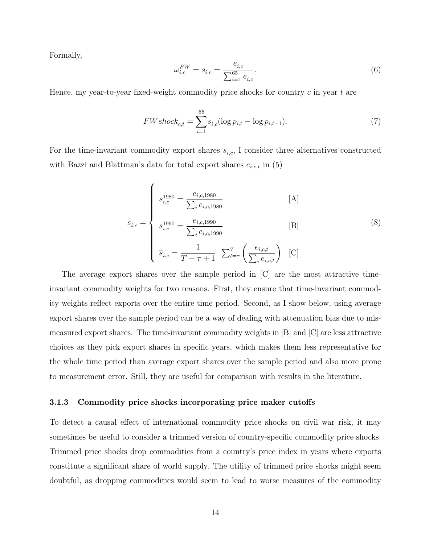Formally,

$$
\omega_{i,c}^{FW} = s_{i,c} = \frac{e_{i,c}}{\sum_{i=1}^{65} e_{i,c}}.\tag{6}
$$

Hence, my year-to-year fixed-weight commodity price shocks for country  $c$  in year  $t$  are

$$
FWshock_{c,t} = \sum_{i=1}^{65} s_{i,c} (\log p_{i,t} - \log p_{i,t-1}).
$$
\n(7)

For the time-invariant commodity export shares  $s_{i,c}$ , I consider three alternatives constructed with Bazzi and Blattman's data for total export shares  $e_{i,c,t}$  in (5)

$$
s_{i,c} = \begin{cases} s_{i,c}^{1980} = \frac{e_{i,c,1980}}{\sum_{i} e_{i,c,1980}} \\ s_{i,c}^{1990} = \frac{e_{i,c,1990}}{\sum_{i} e_{i,c,1990}} \\ \overline{s}_{i,c} = \frac{1}{T - \tau + 1} \sum_{t=\tau}^{T} \left( \frac{e_{i,c,t}}{\sum_{i} e_{i,c,t}} \right) \quad [C] \end{cases}
$$
(8)

The average export shares over the sample period in [C] are the most attractive timeinvariant commodity weights for two reasons. First, they ensure that time-invariant commodity weights reflect exports over the entire time period. Second, as I show below, using average export shares over the sample period can be a way of dealing with attenuation bias due to mismeasured export shares. The time-invariant commodity weights in [B] and [C] are less attractive choices as they pick export shares in specific years, which makes them less representative for the whole time period than average export shares over the sample period and also more prone to measurement error. Still, they are useful for comparison with results in the literature.

#### 3.1.3 Commodity price shocks incorporating price maker cutoffs

To detect a causal effect of international commodity price shocks on civil war risk, it may sometimes be useful to consider a trimmed version of country-specific commodity price shocks. Trimmed price shocks drop commodities from a country's price index in years where exports constitute a significant share of world supply. The utility of trimmed price shocks might seem doubtful, as dropping commodities would seem to lead to worse measures of the commodity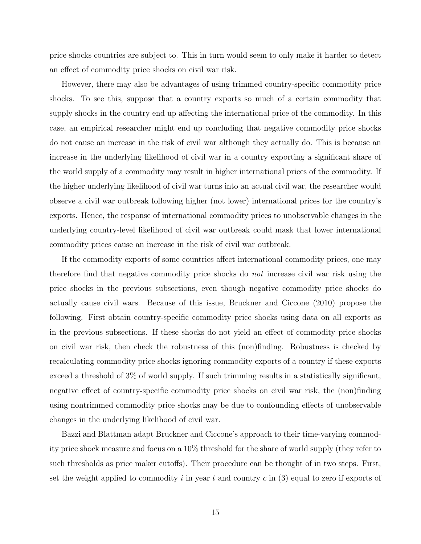price shocks countries are subject to. This in turn would seem to only make it harder to detect an effect of commodity price shocks on civil war risk.

However, there may also be advantages of using trimmed country-specific commodity price shocks. To see this, suppose that a country exports so much of a certain commodity that supply shocks in the country end up affecting the international price of the commodity. In this case, an empirical researcher might end up concluding that negative commodity price shocks do not cause an increase in the risk of civil war although they actually do. This is because an increase in the underlying likelihood of civil war in a country exporting a significant share of the world supply of a commodity may result in higher international prices of the commodity. If the higher underlying likelihood of civil war turns into an actual civil war, the researcher would observe a civil war outbreak following higher (not lower) international prices for the country's exports. Hence, the response of international commodity prices to unobservable changes in the underlying country-level likelihood of civil war outbreak could mask that lower international commodity prices cause an increase in the risk of civil war outbreak.

If the commodity exports of some countries affect international commodity prices, one may therefore find that negative commodity price shocks do not increase civil war risk using the price shocks in the previous subsections, even though negative commodity price shocks do actually cause civil wars. Because of this issue, Bruckner and Ciccone (2010) propose the following. First obtain country-specific commodity price shocks using data on all exports as in the previous subsections. If these shocks do not yield an effect of commodity price shocks on civil war risk, then check the robustness of this (non)finding. Robustness is checked by recalculating commodity price shocks ignoring commodity exports of a country if these exports exceed a threshold of 3% of world supply. If such trimming results in a statistically significant, negative effect of country-specific commodity price shocks on civil war risk, the (non)finding using nontrimmed commodity price shocks may be due to confounding effects of unobservable changes in the underlying likelihood of civil war.

Bazzi and Blattman adapt Bruckner and Ciccone's approach to their time-varying commodity price shock measure and focus on a 10% threshold for the share of world supply (they refer to such thresholds as price maker cutoffs). Their procedure can be thought of in two steps. First, set the weight applied to commodity i in year t and country  $c$  in (3) equal to zero if exports of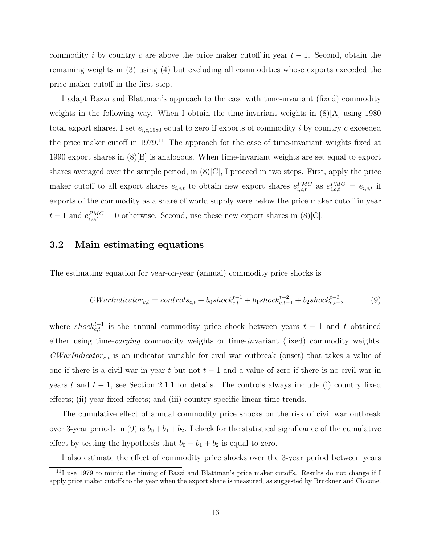commodity i by country c are above the price maker cutoff in year  $t-1$ . Second, obtain the remaining weights in (3) using (4) but excluding all commodities whose exports exceeded the price maker cutoff in the first step.

I adapt Bazzi and Blattman's approach to the case with time-invariant (fixed) commodity weights in the following way. When I obtain the time-invariant weights in  $(8)[A]$  using 1980 total export shares, I set  $e_{i,c,1980}$  equal to zero if exports of commodity i by country c exceeded the price maker cutoff in  $1979<sup>11</sup>$ . The approach for the case of time-invariant weights fixed at 1990 export shares in (8)[B] is analogous. When time-invariant weights are set equal to export shares averaged over the sample period, in  $(8)[C]$ , I proceed in two steps. First, apply the price maker cutoff to all export shares  $e_{i,c,t}$  to obtain new export shares  $e_{i,c,t}^{PMC}$  as  $e_{i,c,t}^{PMC} = e_{i,c,t}$  if exports of the commodity as a share of world supply were below the price maker cutoff in year  $t-1$  and  $e_{i,c,t}^{PMC} = 0$  otherwise. Second, use these new export shares in (8)[C].

### 3.2 Main estimating equations

The estimating equation for year-on-year (annual) commodity price shocks is

$$
CWarIndicator_{c,t} = controls_{c,t} + b_0 shock_{c,t}^{t-1} + b_1 shock_{c,t-1}^{t-2} + b_2 shock_{c,t-2}^{t-3}
$$
 (9)

where shock<sup>t-1</sup> is the annual commodity price shock between years  $t-1$  and t obtained either using time-*varying* commodity weights or time-*invariant* (fixed) commodity weights.  $\textit{CWarIndicator}_{c,t}$  is an indicator variable for civil war outbreak (onset) that takes a value of one if there is a civil war in year t but not  $t-1$  and a value of zero if there is no civil war in years t and  $t - 1$ , see Section 2.1.1 for details. The controls always include (i) country fixed effects; (ii) year fixed effects; and (iii) country-specific linear time trends.

The cumulative effect of annual commodity price shocks on the risk of civil war outbreak over 3-year periods in (9) is  $b_0 + b_1 + b_2$ . I check for the statistical significance of the cumulative effect by testing the hypothesis that  $b_0 + b_1 + b_2$  is equal to zero.

I also estimate the effect of commodity price shocks over the 3-year period between years

<sup>&</sup>lt;sup>11</sup>I use 1979 to mimic the timing of Bazzi and Blattman's price maker cutoffs. Results do not change if I apply price maker cutoffs to the year when the export share is measured, as suggested by Bruckner and Ciccone.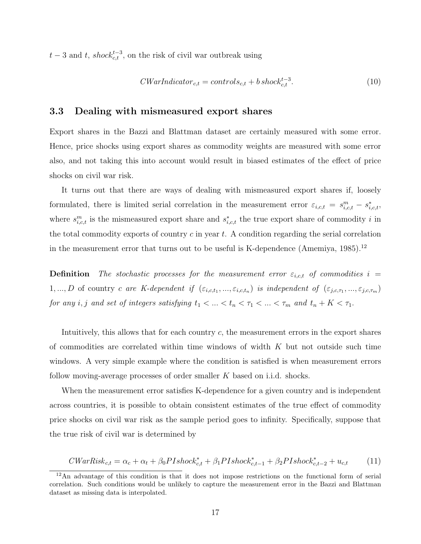$t-3$  and  $t$ , shock<sup> $t-3$ </sup>, on the risk of civil war outbreak using

$$
CWarIndicator_{c,t} = controls_{c,t} + b \, shock_{c,t}^{t-3}.
$$
\n
$$
(10)
$$

### 3.3 Dealing with mismeasured export shares

Export shares in the Bazzi and Blattman dataset are certainly measured with some error. Hence, price shocks using export shares as commodity weights are measured with some error also, and not taking this into account would result in biased estimates of the effect of price shocks on civil war risk.

It turns out that there are ways of dealing with mismeasured export shares if, loosely formulated, there is limited serial correlation in the measurement error  $\varepsilon_{i,c,t} = s_{i,c,t}^m - s_{i,c,t}^*$ where  $s_{i,c,t}^m$  is the mismeasured export share and  $s_{i,c,t}^*$  the true export share of commodity i in the total commodity exports of country  $c$  in year  $t$ . A condition regarding the serial correlation in the measurement error that turns out to be useful is K-dependence (Amemiya,  $1985$ ).<sup>12</sup>

**Definition** The stochastic processes for the measurement error  $\varepsilon_{i,c,t}$  of commodities  $i =$ 1,..., D of country c are K-dependent if  $(\varepsilon_{i,c,t_1},...,\varepsilon_{i,c,t_n})$  is independent of  $(\varepsilon_{j,c,\tau_1},...,\varepsilon_{j,c,\tau_m})$ for any i, j and set of integers satisfying  $t_1 < \ldots < t_n < \tau_1 < \ldots < \tau_m$  and  $t_n + K < \tau_1$ .

Intuitively, this allows that for each country c, the measurement errors in the export shares of commodities are correlated within time windows of width  $K$  but not outside such time windows. A very simple example where the condition is satisfied is when measurement errors follow moving-average processes of order smaller K based on i.i.d. shocks.

When the measurement error satisfies K-dependence for a given country and is independent across countries, it is possible to obtain consistent estimates of the true effect of commodity price shocks on civil war risk as the sample period goes to infinity. Specifically, suppose that the true risk of civil war is determined by

$$
CWarRisk_{c,t} = \alpha_c + \alpha_t + \beta_0PIshock_{c,t}^* + \beta_1PIshock_{c,t-1}^* + \beta_2PIshock_{c,t-2}^* + u_{c,t}
$$
 (11)

<sup>12</sup>An advantage of this condition is that it does not impose restrictions on the functional form of serial correlation. Such conditions would be unlikely to capture the measurement error in the Bazzi and Blattman dataset as missing data is interpolated.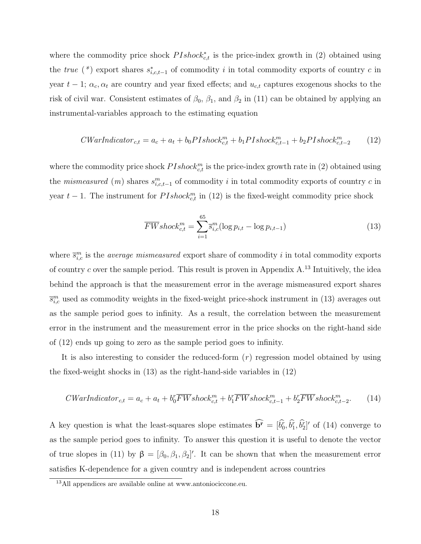where the commodity price shock  $Plshock_{c,t}^*$  is the price-index growth in (2) obtained using the true (\*) export shares  $s_{i,c,t-1}^*$  of commodity i in total commodity exports of country c in year  $t - 1$ ;  $\alpha_c, \alpha_t$  are country and year fixed effects; and  $u_{c,t}$  captures exogenous shocks to the risk of civil war. Consistent estimates of  $\beta_0$ ,  $\beta_1$ , and  $\beta_2$  in (11) can be obtained by applying an instrumental-variables approach to the estimating equation

$$
CWarIndicator_{c,t} = a_c + a_t + b_0PIshock_{c,t}^m + b_1PIshock_{c,t-1}^m + b_2PIshock_{c,t-2}^m
$$
 (12)

where the commodity price shock  $PIshock_{c,t}^m$  is the price-index growth rate in (2) obtained using the *mismeasured* (*m*) shares  $s_{i,c,t-1}^m$  of commodity *i* in total commodity exports of country *c* in year  $t-1$ . The instrument for  $PIshock_{c,t}^m$  in (12) is the fixed-weight commodity price shock

$$
\overline{FWshock}_{c,t}^{m} = \sum_{i=1}^{65} \overline{s}_{i,c}^{m} (\log p_{i,t} - \log p_{i,t-1})
$$
\n(13)

where  $\bar{s}_{i,c}^m$  is the *average mismeasured* export share of commodity i in total commodity exports of country  $c$  over the sample period. This result is proven in Appendix A.<sup>13</sup> Intuitively, the idea behind the approach is that the measurement error in the average mismeasured export shares  $\bar{s}_{i,c}^m$  used as commodity weights in the fixed-weight price-shock instrument in (13) averages out as the sample period goes to infinity. As a result, the correlation between the measurement error in the instrument and the measurement error in the price shocks on the right-hand side of (12) ends up going to zero as the sample period goes to infinity.

It is also interesting to consider the reduced-form  $(r)$  regression model obtained by using the fixed-weight shocks in (13) as the right-hand-side variables in (12)

$$
CWarIndicator_{c,t} = a_c + a_t + b_0^r \overline{FW} shock_{c,t}^m + b_1^r \overline{FW} shock_{c,t-1}^m + b_2^r \overline{FW} shock_{c,t-2}^m.
$$
 (14)

A key question is what the least-squares slope estimates  $\mathbf{b}^{\mathbf{r}} = [\hat{b}_0^{\mathbf{r}}, \hat{b}_1^{\mathbf{r}}, \hat{b}_2^{\mathbf{r}}]'$  of (14) converge to as the sample period goes to infinity. To answer this question it is useful to denote the vector of true slopes in (11) by  $\beta = [\beta_0, \beta_1, \beta_2]'$ . It can be shown that when the measurement error satisfies K-dependence for a given country and is independent across countries

<sup>13</sup>All appendices are available online at www.antoniociccone.eu.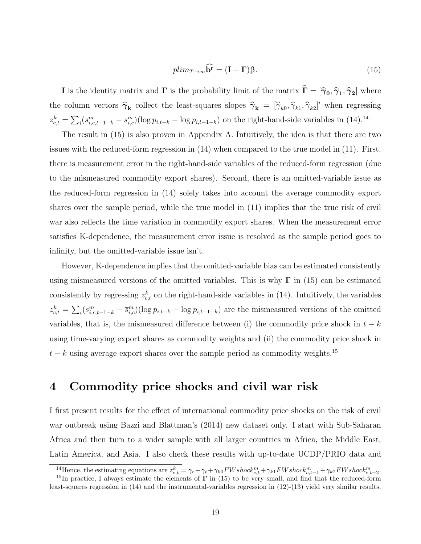$$
plim_{T \to \infty} \widehat{\mathbf{b}^{\mathbf{r}}} = (\mathbf{I} + \mathbf{\Gamma})\beta. \tag{15}
$$

**I** is the identity matrix and  $\Gamma$  is the probability limit of the matrix  $\Gamma = [\hat{\gamma}_0, \hat{\gamma}_1, \hat{\gamma}_2]$  where the column vectors  $\hat{\gamma}_k$  collect the least-squares slopes  $\hat{\gamma}_k = [\hat{\gamma}_{k0}, \hat{\gamma}_{k1}, \hat{\gamma}_{k2}]'$  when regressing  $z_{c,t}^k = \sum_i (s_{i,c,t-1-k}^m - \overline{s}_{i,c}^m) (\log p_{i,t-k} - \log p_{i,t-1-k})$  on the right-hand-side variables in (14).<sup>14</sup>

The result in (15) is also proven in Appendix A. Intuitively, the idea is that there are two issues with the reduced-form regression in (14) when compared to the true model in (11). First, there is measurement error in the right-hand-side variables of the reduced-form regression (due to the mismeasured commodity export shares). Second, there is an omitted-variable issue as the reduced-form regression in (14) solely takes into account the average commodity export shares over the sample period, while the true model in (11) implies that the true risk of civil war also reflects the time variation in commodity export shares. When the measurement error satisfies K-dependence, the measurement error issue is resolved as the sample period goes to infinity, but the omitted-variable issue isn't.

However, K-dependence implies that the omitted-variable bias can be estimated consistently using mismeasured versions of the omitted variables. This is why  $\Gamma$  in (15) can be estimated consistently by regressing  $z_{c,t}^k$  on the right-hand-side variables in (14). Intuitively, the variables  $z_{c,t}^k = \sum_i (s_{i,c,t-1-k}^m - \overline{s}_{i,c}^m) (\log p_{i,t-k} - \log p_{i,t-1-k})$  are the mismeasured versions of the omitted variables, that is, the mismeasured difference between (i) the commodity price shock in  $t - k$ using time-varying export shares as commodity weights and (ii) the commodity price shock in  $t - k$  using average export shares over the sample period as commodity weights.<sup>15</sup>

# 4 Commodity price shocks and civil war risk

I first present results for the effect of international commodity price shocks on the risk of civil war outbreak using Bazzi and Blattman's (2014) new dataset only. I start with Sub-Saharan Africa and then turn to a wider sample with all larger countries in Africa, the Middle East, Latin America, and Asia. I also check these results with up-to-date UCDP/PRIO data and

<sup>&</sup>lt;sup>14</sup>Hence, the estimating equations are  $z_{c,t}^k = \gamma_c + \gamma_t + \gamma_{k0} \overline{FW} \, shock_{c,t}^m + \gamma_{k1} \overline{FW} \, shock_{c,t-1}^m + \gamma_{k2} \overline{FW} \, shock_{c,t-2}^m$ .

<sup>&</sup>lt;sup>15</sup>In practice, I always estimate the elements of  $\Gamma$  in (15) to be very small, and find that the reduced-form least-squares regression in (14) and the instrumental-variables regression in (12)-(13) yield very similar results.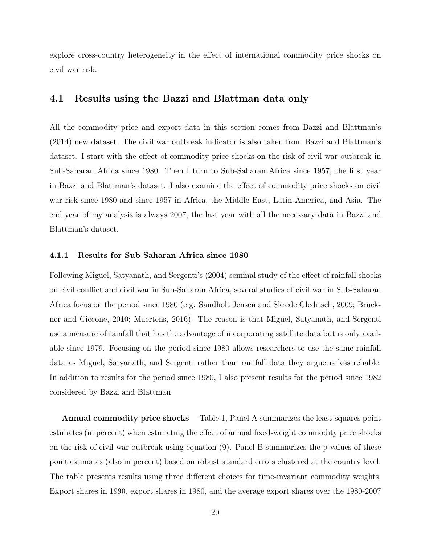explore cross-country heterogeneity in the effect of international commodity price shocks on civil war risk.

### 4.1 Results using the Bazzi and Blattman data only

All the commodity price and export data in this section comes from Bazzi and Blattman's (2014) new dataset. The civil war outbreak indicator is also taken from Bazzi and Blattman's dataset. I start with the effect of commodity price shocks on the risk of civil war outbreak in Sub-Saharan Africa since 1980. Then I turn to Sub-Saharan Africa since 1957, the first year in Bazzi and Blattman's dataset. I also examine the effect of commodity price shocks on civil war risk since 1980 and since 1957 in Africa, the Middle East, Latin America, and Asia. The end year of my analysis is always 2007, the last year with all the necessary data in Bazzi and Blattman's dataset.

#### 4.1.1 Results for Sub-Saharan Africa since 1980

Following Miguel, Satyanath, and Sergenti's (2004) seminal study of the effect of rainfall shocks on civil conflict and civil war in Sub-Saharan Africa, several studies of civil war in Sub-Saharan Africa focus on the period since 1980 (e.g. Sandholt Jensen and Skrede Gleditsch, 2009; Bruckner and Ciccone, 2010; Maertens, 2016). The reason is that Miguel, Satyanath, and Sergenti use a measure of rainfall that has the advantage of incorporating satellite data but is only available since 1979. Focusing on the period since 1980 allows researchers to use the same rainfall data as Miguel, Satyanath, and Sergenti rather than rainfall data they argue is less reliable. In addition to results for the period since 1980, I also present results for the period since 1982 considered by Bazzi and Blattman.

Annual commodity price shocks Table 1, Panel A summarizes the least-squares point estimates (in percent) when estimating the effect of annual fixed-weight commodity price shocks on the risk of civil war outbreak using equation (9). Panel B summarizes the p-values of these point estimates (also in percent) based on robust standard errors clustered at the country level. The table presents results using three different choices for time-invariant commodity weights. Export shares in 1990, export shares in 1980, and the average export shares over the 1980-2007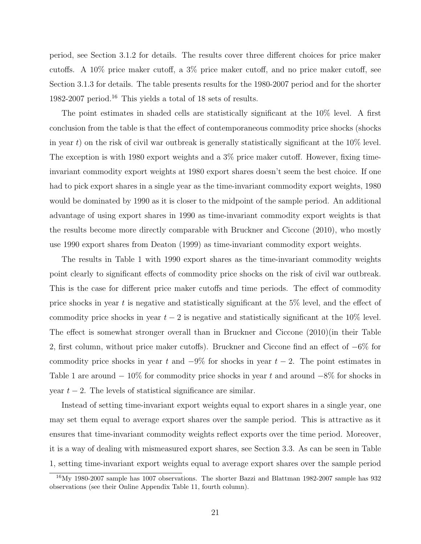period, see Section 3.1.2 for details. The results cover three different choices for price maker cutoffs. A 10% price maker cutoff, a 3% price maker cutoff, and no price maker cutoff, see Section 3.1.3 for details. The table presents results for the 1980-2007 period and for the shorter 1982-2007 period.<sup>16</sup> This yields a total of 18 sets of results.

The point estimates in shaded cells are statistically significant at the 10% level. A first conclusion from the table is that the effect of contemporaneous commodity price shocks (shocks in year t) on the risk of civil war outbreak is generally statistically significant at the  $10\%$  level. The exception is with 1980 export weights and a 3% price maker cutoff. However, fixing timeinvariant commodity export weights at 1980 export shares doesn't seem the best choice. If one had to pick export shares in a single year as the time-invariant commodity export weights, 1980 would be dominated by 1990 as it is closer to the midpoint of the sample period. An additional advantage of using export shares in 1990 as time-invariant commodity export weights is that the results become more directly comparable with Bruckner and Ciccone (2010), who mostly use 1990 export shares from Deaton (1999) as time-invariant commodity export weights.

The results in Table 1 with 1990 export shares as the time-invariant commodity weights point clearly to significant effects of commodity price shocks on the risk of civil war outbreak. This is the case for different price maker cutoffs and time periods. The effect of commodity price shocks in year t is negative and statistically significant at the  $5\%$  level, and the effect of commodity price shocks in year  $t - 2$  is negative and statistically significant at the 10% level. The effect is somewhat stronger overall than in Bruckner and Ciccone (2010)(in their Table 2, first column, without price maker cutoffs). Bruckner and Ciccone find an effect of −6% for commodity price shocks in year t and  $-9\%$  for shocks in year  $t-2$ . The point estimates in Table 1 are around  $-10\%$  for commodity price shocks in year t and around  $-8\%$  for shocks in year  $t - 2$ . The levels of statistical significance are similar.

Instead of setting time-invariant export weights equal to export shares in a single year, one may set them equal to average export shares over the sample period. This is attractive as it ensures that time-invariant commodity weights reflect exports over the time period. Moreover, it is a way of dealing with mismeasured export shares, see Section 3.3. As can be seen in Table 1, setting time-invariant export weights equal to average export shares over the sample period

 $16$ My 1980-2007 sample has 1007 observations. The shorter Bazzi and Blattman 1982-2007 sample has 932 observations (see their Online Appendix Table 11, fourth column).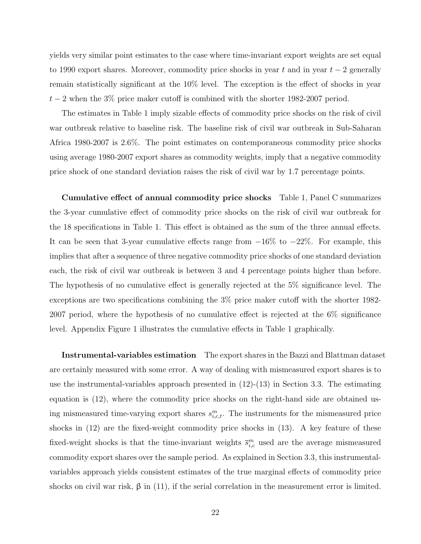yields very similar point estimates to the case where time-invariant export weights are set equal to 1990 export shares. Moreover, commodity price shocks in year t and in year  $t-2$  generally remain statistically significant at the 10% level. The exception is the effect of shocks in year  $t-2$  when the 3% price maker cutoff is combined with the shorter 1982-2007 period.

The estimates in Table 1 imply sizable effects of commodity price shocks on the risk of civil war outbreak relative to baseline risk. The baseline risk of civil war outbreak in Sub-Saharan Africa 1980-2007 is 2.6%. The point estimates on contemporaneous commodity price shocks using average 1980-2007 export shares as commodity weights, imply that a negative commodity price shock of one standard deviation raises the risk of civil war by 1.7 percentage points.

Cumulative effect of annual commodity price shocks Table 1, Panel C summarizes the 3-year cumulative effect of commodity price shocks on the risk of civil war outbreak for the 18 specifications in Table 1. This effect is obtained as the sum of the three annual effects. It can be seen that 3-year cumulative effects range from  $-16\%$  to  $-22\%$ . For example, this implies that after a sequence of three negative commodity price shocks of one standard deviation each, the risk of civil war outbreak is between 3 and 4 percentage points higher than before. The hypothesis of no cumulative effect is generally rejected at the 5% significance level. The exceptions are two specifications combining the 3% price maker cutoff with the shorter 1982- 2007 period, where the hypothesis of no cumulative effect is rejected at the 6% significance level. Appendix Figure 1 illustrates the cumulative effects in Table 1 graphically.

Instrumental-variables estimation The export shares in the Bazzi and Blattman dataset are certainly measured with some error. A way of dealing with mismeasured export shares is to use the instrumental-variables approach presented in  $(12)-(13)$  in Section 3.3. The estimating equation is (12), where the commodity price shocks on the right-hand side are obtained using mismeasured time-varying export shares  $s_{i,c,t}^m$ . The instruments for the mismeasured price shocks in (12) are the fixed-weight commodity price shocks in (13). A key feature of these fixed-weight shocks is that the time-invariant weights  $\bar{s}_{i,c}^m$  used are the average mismeasured commodity export shares over the sample period. As explained in Section 3.3, this instrumentalvariables approach yields consistent estimates of the true marginal effects of commodity price shocks on civil war risk,  $\beta$  in (11), if the serial correlation in the measurement error is limited.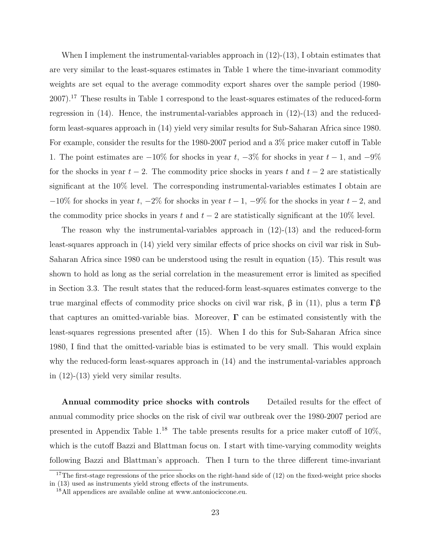When I implement the instrumental-variables approach in (12)-(13), I obtain estimates that are very similar to the least-squares estimates in Table 1 where the time-invariant commodity weights are set equal to the average commodity export shares over the sample period (1980- 2007).<sup>17</sup> These results in Table 1 correspond to the least-squares estimates of the reduced-form regression in  $(14)$ . Hence, the instrumental-variables approach in  $(12)-(13)$  and the reducedform least-squares approach in (14) yield very similar results for Sub-Saharan Africa since 1980. For example, consider the results for the 1980-2007 period and a 3% price maker cutoff in Table 1. The point estimates are  $-10\%$  for shocks in year  $t, -3\%$  for shocks in year  $t - 1$ , and  $-9\%$ for the shocks in year  $t - 2$ . The commodity price shocks in years t and  $t - 2$  are statistically significant at the 10% level. The corresponding instrumental-variables estimates I obtain are  $-10\%$  for shocks in year t,  $-2\%$  for shocks in year  $t-1$ ,  $-9\%$  for the shocks in year  $t-2$ , and the commodity price shocks in years t and  $t - 2$  are statistically significant at the 10% level.

The reason why the instrumental-variables approach in (12)-(13) and the reduced-form least-squares approach in (14) yield very similar effects of price shocks on civil war risk in Sub-Saharan Africa since 1980 can be understood using the result in equation (15). This result was shown to hold as long as the serial correlation in the measurement error is limited as specified in Section 3.3. The result states that the reduced-form least-squares estimates converge to the true marginal effects of commodity price shocks on civil war risk, β in (11), plus a term  $\Gamma$ β that captures an omitted-variable bias. Moreover,  $\Gamma$  can be estimated consistently with the least-squares regressions presented after (15). When I do this for Sub-Saharan Africa since 1980, I find that the omitted-variable bias is estimated to be very small. This would explain why the reduced-form least-squares approach in (14) and the instrumental-variables approach in (12)-(13) yield very similar results.

Annual commodity price shocks with controls Detailed results for the effect of annual commodity price shocks on the risk of civil war outbreak over the 1980-2007 period are presented in Appendix Table 1.<sup>18</sup> The table presents results for a price maker cutoff of  $10\%$ , which is the cutoff Bazzi and Blattman focus on. I start with time-varying commodity weights following Bazzi and Blattman's approach. Then I turn to the three different time-invariant

<sup>&</sup>lt;sup>17</sup>The first-stage regressions of the price shocks on the right-hand side of  $(12)$  on the fixed-weight price shocks in (13) used as instruments yield strong effects of the instruments.

<sup>18</sup>All appendices are available online at www.antoniociccone.eu.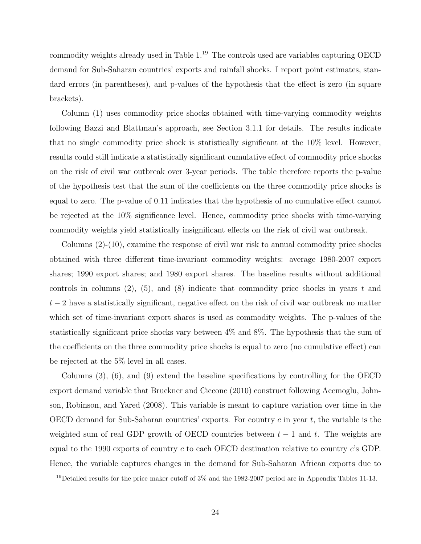commodity weights already used in Table 1.<sup>19</sup> The controls used are variables capturing OECD demand for Sub-Saharan countries' exports and rainfall shocks. I report point estimates, standard errors (in parentheses), and p-values of the hypothesis that the effect is zero (in square brackets).

Column (1) uses commodity price shocks obtained with time-varying commodity weights following Bazzi and Blattman's approach, see Section 3.1.1 for details. The results indicate that no single commodity price shock is statistically significant at the 10% level. However, results could still indicate a statistically significant cumulative effect of commodity price shocks on the risk of civil war outbreak over 3-year periods. The table therefore reports the p-value of the hypothesis test that the sum of the coefficients on the three commodity price shocks is equal to zero. The p-value of 0.11 indicates that the hypothesis of no cumulative effect cannot be rejected at the 10% significance level. Hence, commodity price shocks with time-varying commodity weights yield statistically insignificant effects on the risk of civil war outbreak.

Columns (2)-(10), examine the response of civil war risk to annual commodity price shocks obtained with three different time-invariant commodity weights: average 1980-2007 export shares; 1990 export shares; and 1980 export shares. The baseline results without additional controls in columns  $(2)$ ,  $(5)$ , and  $(8)$  indicate that commodity price shocks in years t and  $t-2$  have a statistically significant, negative effect on the risk of civil war outbreak no matter which set of time-invariant export shares is used as commodity weights. The p-values of the statistically significant price shocks vary between 4% and 8%. The hypothesis that the sum of the coefficients on the three commodity price shocks is equal to zero (no cumulative effect) can be rejected at the 5% level in all cases.

Columns (3), (6), and (9) extend the baseline specifications by controlling for the OECD export demand variable that Bruckner and Ciccone (2010) construct following Acemoglu, Johnson, Robinson, and Yared (2008). This variable is meant to capture variation over time in the OECD demand for Sub-Saharan countries' exports. For country  $c$  in year  $t$ , the variable is the weighted sum of real GDP growth of OECD countries between  $t - 1$  and t. The weights are equal to the 1990 exports of country  $c$  to each OECD destination relative to country  $c$ 's GDP. Hence, the variable captures changes in the demand for Sub-Saharan African exports due to

<sup>&</sup>lt;sup>19</sup>Detailed results for the price maker cutoff of  $3\%$  and the 1982-2007 period are in Appendix Tables 11-13.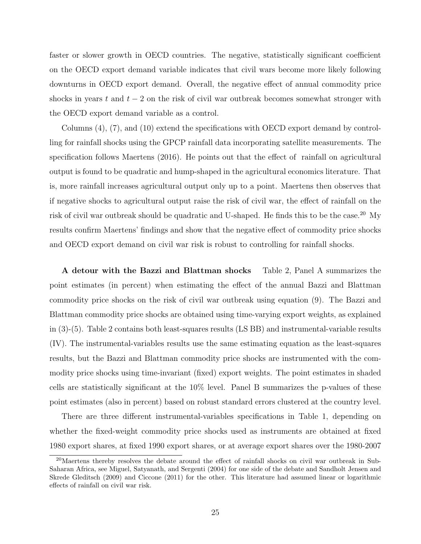faster or slower growth in OECD countries. The negative, statistically significant coefficient on the OECD export demand variable indicates that civil wars become more likely following downturns in OECD export demand. Overall, the negative effect of annual commodity price shocks in years t and  $t - 2$  on the risk of civil war outbreak becomes somewhat stronger with the OECD export demand variable as a control.

Columns (4), (7), and (10) extend the specifications with OECD export demand by controlling for rainfall shocks using the GPCP rainfall data incorporating satellite measurements. The specification follows Maertens (2016). He points out that the effect of rainfall on agricultural output is found to be quadratic and hump-shaped in the agricultural economics literature. That is, more rainfall increases agricultural output only up to a point. Maertens then observes that if negative shocks to agricultural output raise the risk of civil war, the effect of rainfall on the risk of civil war outbreak should be quadratic and U-shaped. He finds this to be the case.<sup>20</sup> My results confirm Maertens' findings and show that the negative effect of commodity price shocks and OECD export demand on civil war risk is robust to controlling for rainfall shocks.

A detour with the Bazzi and Blattman shocks Table 2, Panel A summarizes the point estimates (in percent) when estimating the effect of the annual Bazzi and Blattman commodity price shocks on the risk of civil war outbreak using equation (9). The Bazzi and Blattman commodity price shocks are obtained using time-varying export weights, as explained in (3)-(5). Table 2 contains both least-squares results (LS BB) and instrumental-variable results (IV). The instrumental-variables results use the same estimating equation as the least-squares results, but the Bazzi and Blattman commodity price shocks are instrumented with the commodity price shocks using time-invariant (fixed) export weights. The point estimates in shaded cells are statistically significant at the 10% level. Panel B summarizes the p-values of these point estimates (also in percent) based on robust standard errors clustered at the country level.

There are three different instrumental-variables specifications in Table 1, depending on whether the fixed-weight commodity price shocks used as instruments are obtained at fixed 1980 export shares, at fixed 1990 export shares, or at average export shares over the 1980-2007

<sup>&</sup>lt;sup>20</sup>Maertens thereby resolves the debate around the effect of rainfall shocks on civil war outbreak in Sub-Saharan Africa, see Miguel, Satyanath, and Sergenti (2004) for one side of the debate and Sandholt Jensen and Skrede Gleditsch (2009) and Ciccone (2011) for the other. This literature had assumed linear or logarithmic effects of rainfall on civil war risk.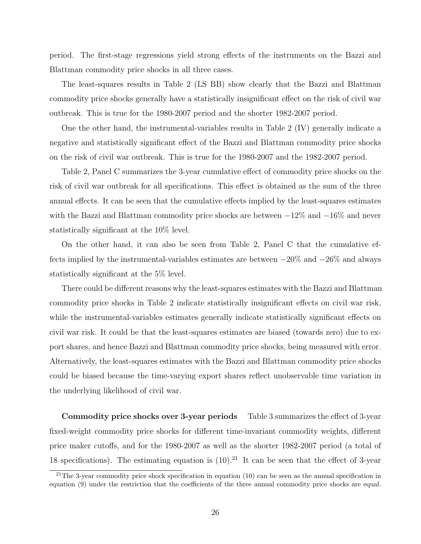period. The first-stage regressions yield strong effects of the instruments on the Bazzi and Blattman commodity price shocks in all three cases.

The least-squares results in Table 2 (LS BB) show clearly that the Bazzi and Blattman commodity price shocks generally have a statistically insignificant effect on the risk of civil war outbreak. This is true for the 1980-2007 period and the shorter 1982-2007 period.

One the other hand, the instrumental-variables results in Table 2 (IV) generally indicate a negative and statistically significant effect of the Bazzi and Blattman commodity price shocks on the risk of civil war outbreak. This is true for the 1980-2007 and the 1982-2007 period.

Table 2, Panel C summarizes the 3-year cumulative effect of commodity price shocks on the risk of civil war outbreak for all specifications. This effect is obtained as the sum of the three annual effects. It can be seen that the cumulative effects implied by the least-squares estimates with the Bazzi and Blattman commodity price shocks are between  $-12\%$  and  $-16\%$  and never statistically significant at the 10% level.

On the other hand, it can also be seen from Table 2, Panel C that the cumulative effects implied by the instrumental-variables estimates are between −20% and −26% and always statistically significant at the 5% level.

There could be different reasons why the least-squares estimates with the Bazzi and Blattman commodity price shocks in Table 2 indicate statistically insignificant effects on civil war risk, while the instrumental-variables estimates generally indicate statistically significant effects on civil war risk. It could be that the least-squares estimates are biased (towards zero) due to export shares, and hence Bazzi and Blattman commodity price shocks, being measured with error. Alternatively, the least-squares estimates with the Bazzi and Blattman commodity price shocks could be biased because the time-varying export shares reflect unobservable time variation in the underlying likelihood of civil war.

Commodity price shocks over 3-year periods Table 3 summarizes the effect of 3-year fixed-weight commodity price shocks for different time-invariant commodity weights, different price maker cutoffs, and for the 1980-2007 as well as the shorter 1982-2007 period (a total of 18 specifications). The estimating equation is  $(10).<sup>21</sup>$  It can be seen that the effect of 3-year

<sup>&</sup>lt;sup>21</sup>The 3-year commodity price shock specification in equation  $(10)$  can be seen as the annual specification in equation (9) under the restriction that the coefficients of the three annual commodity price shocks are equal.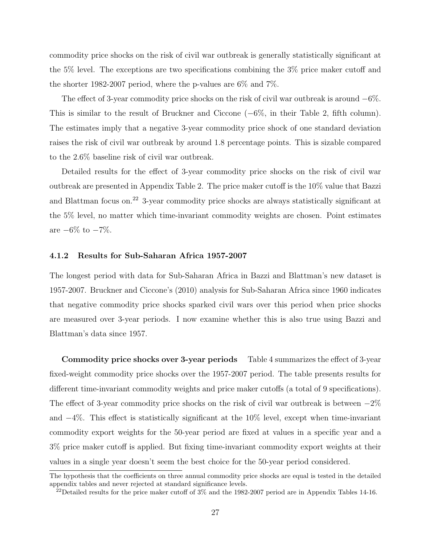commodity price shocks on the risk of civil war outbreak is generally statistically significant at the 5% level. The exceptions are two specifications combining the 3% price maker cutoff and the shorter 1982-2007 period, where the p-values are 6% and 7%.

The effect of 3-year commodity price shocks on the risk of civil war outbreak is around  $-6\%$ . This is similar to the result of Bruckner and Ciccone (−6%, in their Table 2, fifth column). The estimates imply that a negative 3-year commodity price shock of one standard deviation raises the risk of civil war outbreak by around 1.8 percentage points. This is sizable compared to the 2.6% baseline risk of civil war outbreak.

Detailed results for the effect of 3-year commodity price shocks on the risk of civil war outbreak are presented in Appendix Table 2. The price maker cutoff is the 10% value that Bazzi and Blattman focus on.<sup>22</sup> 3-year commodity price shocks are always statistically significant at the 5% level, no matter which time-invariant commodity weights are chosen. Point estimates are  $-6\%$  to  $-7\%$ .

#### 4.1.2 Results for Sub-Saharan Africa 1957-2007

The longest period with data for Sub-Saharan Africa in Bazzi and Blattman's new dataset is 1957-2007. Bruckner and Ciccone's (2010) analysis for Sub-Saharan Africa since 1960 indicates that negative commodity price shocks sparked civil wars over this period when price shocks are measured over 3-year periods. I now examine whether this is also true using Bazzi and Blattman's data since 1957.

Commodity price shocks over 3-year periods Table 4 summarizes the effect of 3-year fixed-weight commodity price shocks over the 1957-2007 period. The table presents results for different time-invariant commodity weights and price maker cutoffs (a total of 9 specifications). The effect of 3-year commodity price shocks on the risk of civil war outbreak is between  $-2\%$ and −4%. This effect is statistically significant at the 10% level, except when time-invariant commodity export weights for the 50-year period are fixed at values in a specific year and a 3% price maker cutoff is applied. But fixing time-invariant commodity export weights at their values in a single year doesn't seem the best choice for the 50-year period considered.

The hypothesis that the coefficients on three annual commodity price shocks are equal is tested in the detailed appendix tables and never rejected at standard significance levels.

 $^{22}$ Detailed results for the price maker cutoff of 3% and the 1982-2007 period are in Appendix Tables 14-16.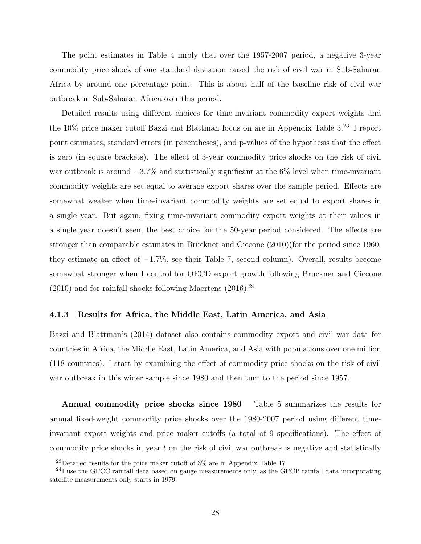The point estimates in Table 4 imply that over the 1957-2007 period, a negative 3-year commodity price shock of one standard deviation raised the risk of civil war in Sub-Saharan Africa by around one percentage point. This is about half of the baseline risk of civil war outbreak in Sub-Saharan Africa over this period.

Detailed results using different choices for time-invariant commodity export weights and the 10% price maker cutoff Bazzi and Blattman focus on are in Appendix Table 3.<sup>23</sup> I report point estimates, standard errors (in parentheses), and p-values of the hypothesis that the effect is zero (in square brackets). The effect of 3-year commodity price shocks on the risk of civil war outbreak is around  $-3.7\%$  and statistically significant at the 6% level when time-invariant commodity weights are set equal to average export shares over the sample period. Effects are somewhat weaker when time-invariant commodity weights are set equal to export shares in a single year. But again, fixing time-invariant commodity export weights at their values in a single year doesn't seem the best choice for the 50-year period considered. The effects are stronger than comparable estimates in Bruckner and Ciccone (2010)(for the period since 1960, they estimate an effect of −1.7%, see their Table 7, second column). Overall, results become somewhat stronger when I control for OECD export growth following Bruckner and Ciccone  $(2010)$  and for rainfall shocks following Maertens  $(2016).^{24}$ 

#### 4.1.3 Results for Africa, the Middle East, Latin America, and Asia

Bazzi and Blattman's (2014) dataset also contains commodity export and civil war data for countries in Africa, the Middle East, Latin America, and Asia with populations over one million (118 countries). I start by examining the effect of commodity price shocks on the risk of civil war outbreak in this wider sample since 1980 and then turn to the period since 1957.

Annual commodity price shocks since 1980 Table 5 summarizes the results for annual fixed-weight commodity price shocks over the 1980-2007 period using different timeinvariant export weights and price maker cutoffs (a total of 9 specifications). The effect of commodity price shocks in year t on the risk of civil war outbreak is negative and statistically

<sup>&</sup>lt;sup>23</sup>Detailed results for the price maker cutoff of  $3\%$  are in Appendix Table 17.

<sup>&</sup>lt;sup>24</sup>I use the GPCC rainfall data based on gauge measurements only, as the GPCP rainfall data incorporating satellite measurements only starts in 1979.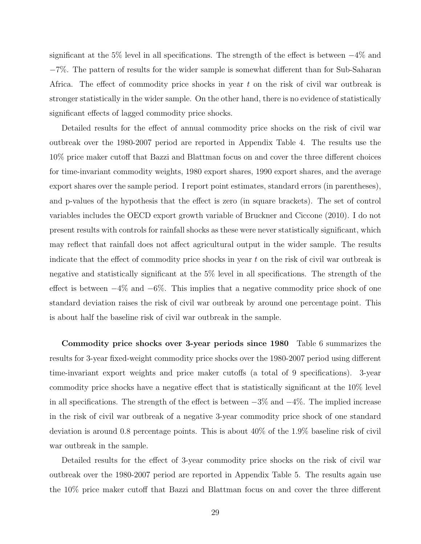significant at the 5% level in all specifications. The strength of the effect is between  $-4\%$  and −7%. The pattern of results for the wider sample is somewhat different than for Sub-Saharan Africa. The effect of commodity price shocks in year t on the risk of civil war outbreak is stronger statistically in the wider sample. On the other hand, there is no evidence of statistically significant effects of lagged commodity price shocks.

Detailed results for the effect of annual commodity price shocks on the risk of civil war outbreak over the 1980-2007 period are reported in Appendix Table 4. The results use the 10% price maker cutoff that Bazzi and Blattman focus on and cover the three different choices for time-invariant commodity weights, 1980 export shares, 1990 export shares, and the average export shares over the sample period. I report point estimates, standard errors (in parentheses), and p-values of the hypothesis that the effect is zero (in square brackets). The set of control variables includes the OECD export growth variable of Bruckner and Ciccone (2010). I do not present results with controls for rainfall shocks as these were never statistically significant, which may reflect that rainfall does not affect agricultural output in the wider sample. The results indicate that the effect of commodity price shocks in year  $t$  on the risk of civil war outbreak is negative and statistically significant at the 5% level in all specifications. The strength of the effect is between  $-4\%$  and  $-6\%$ . This implies that a negative commodity price shock of one standard deviation raises the risk of civil war outbreak by around one percentage point. This is about half the baseline risk of civil war outbreak in the sample.

Commodity price shocks over 3-year periods since 1980 Table 6 summarizes the results for 3-year fixed-weight commodity price shocks over the 1980-2007 period using different time-invariant export weights and price maker cutoffs (a total of 9 specifications). 3-year commodity price shocks have a negative effect that is statistically significant at the 10% level in all specifications. The strength of the effect is between  $-3\%$  and  $-4\%$ . The implied increase in the risk of civil war outbreak of a negative 3-year commodity price shock of one standard deviation is around 0.8 percentage points. This is about 40% of the 1.9% baseline risk of civil war outbreak in the sample.

Detailed results for the effect of 3-year commodity price shocks on the risk of civil war outbreak over the 1980-2007 period are reported in Appendix Table 5. The results again use the 10% price maker cutoff that Bazzi and Blattman focus on and cover the three different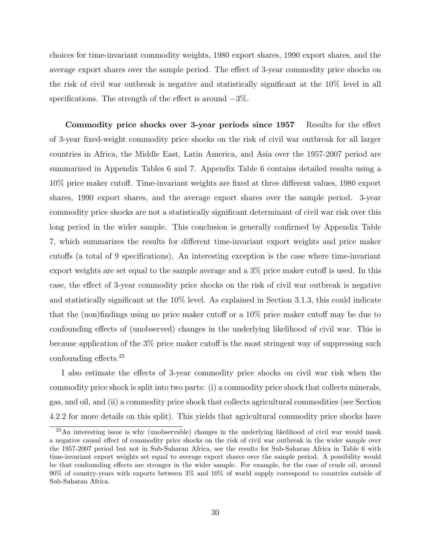choices for time-invariant commodity weights, 1980 export shares, 1990 export shares, and the average export shares over the sample period. The effect of 3-year commodity price shocks on the risk of civil war outbreak is negative and statistically significant at the 10% level in all specifications. The strength of the effect is around  $-3\%$ .

Commodity price shocks over 3-year periods since 1957 Results for the effect of 3-year fixed-weight commodity price shocks on the risk of civil war outbreak for all larger countries in Africa, the Middle East, Latin America, and Asia over the 1957-2007 period are summarized in Appendix Tables 6 and 7. Appendix Table 6 contains detailed results using a 10% price maker cutoff. Time-invariant weights are fixed at three different values, 1980 export shares, 1990 export shares, and the average export shares over the sample period. 3-year commodity price shocks are not a statistically significant determinant of civil war risk over this long period in the wider sample. This conclusion is generally confirmed by Appendix Table 7, which summarizes the results for different time-invariant export weights and price maker cutoffs (a total of 9 specifications). An interesting exception is the case where time-invariant export weights are set equal to the sample average and a 3% price maker cutoff is used. In this case, the effect of 3-year commodity price shocks on the risk of civil war outbreak is negative and statistically significant at the 10% level. As explained in Section 3.1.3, this could indicate that the (non)findings using no price maker cutoff or a 10% price maker cutoff may be due to confounding effects of (unobserved) changes in the underlying likelihood of civil war. This is because application of the 3% price maker cutoff is the most stringent way of suppressing such confounding effects.<sup>25</sup>

I also estimate the effects of 3-year commodity price shocks on civil war risk when the commodity price shock is split into two parts: (i) a commodity price shock that collects minerals, gas, and oil, and (ii) a commodity price shock that collects agricultural commodities (see Section 4.2.2 for more details on this split). This yields that agricultural commodity price shocks have

 $^{25}$ An interesting issue is why (unobservable) changes in the underlying likelihood of civil war would mask a negative causal effect of commodity price shocks on the risk of civil war outbreak in the wider sample over the 1957-2007 period but not in Sub-Saharan Africa, see the results for Sub-Saharan Africa in Table 6 with time-invariant export weights set equal to average export shares over the sample period. A possibility would be that confounding effects are stronger in the wider sample. For example, for the case of crude oil, around 90% of country-years with exports between 3% and 10% of world supply correspond to countries outside of Sub-Saharan Africa.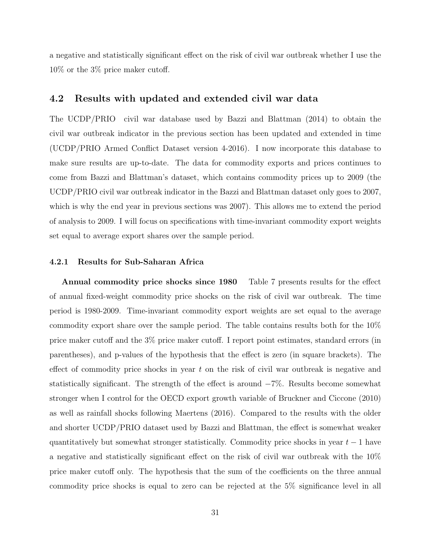a negative and statistically significant effect on the risk of civil war outbreak whether I use the 10% or the 3% price maker cutoff.

#### 4.2 Results with updated and extended civil war data

The UCDP/PRIO civil war database used by Bazzi and Blattman (2014) to obtain the civil war outbreak indicator in the previous section has been updated and extended in time (UCDP/PRIO Armed Conflict Dataset version 4-2016). I now incorporate this database to make sure results are up-to-date. The data for commodity exports and prices continues to come from Bazzi and Blattman's dataset, which contains commodity prices up to 2009 (the UCDP/PRIO civil war outbreak indicator in the Bazzi and Blattman dataset only goes to 2007, which is why the end year in previous sections was 2007). This allows me to extend the period of analysis to 2009. I will focus on specifications with time-invariant commodity export weights set equal to average export shares over the sample period.

#### 4.2.1 Results for Sub-Saharan Africa

Annual commodity price shocks since 1980 Table 7 presents results for the effect of annual fixed-weight commodity price shocks on the risk of civil war outbreak. The time period is 1980-2009. Time-invariant commodity export weights are set equal to the average commodity export share over the sample period. The table contains results both for the 10% price maker cutoff and the 3% price maker cutoff. I report point estimates, standard errors (in parentheses), and p-values of the hypothesis that the effect is zero (in square brackets). The effect of commodity price shocks in year  $t$  on the risk of civil war outbreak is negative and statistically significant. The strength of the effect is around −7%. Results become somewhat stronger when I control for the OECD export growth variable of Bruckner and Ciccone (2010) as well as rainfall shocks following Maertens (2016). Compared to the results with the older and shorter UCDP/PRIO dataset used by Bazzi and Blattman, the effect is somewhat weaker quantitatively but somewhat stronger statistically. Commodity price shocks in year  $t - 1$  have a negative and statistically significant effect on the risk of civil war outbreak with the 10% price maker cutoff only. The hypothesis that the sum of the coefficients on the three annual commodity price shocks is equal to zero can be rejected at the 5% significance level in all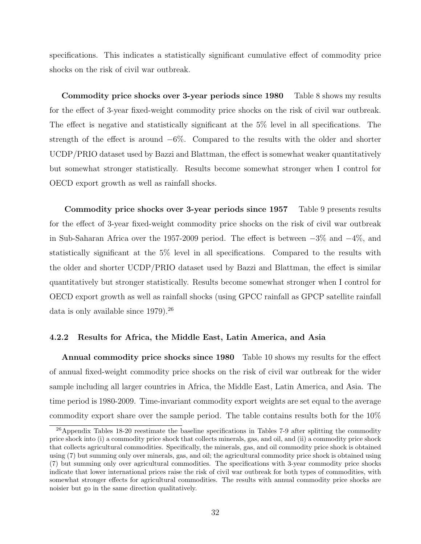specifications. This indicates a statistically significant cumulative effect of commodity price shocks on the risk of civil war outbreak.

Commodity price shocks over 3-year periods since 1980 Table 8 shows my results for the effect of 3-year fixed-weight commodity price shocks on the risk of civil war outbreak. The effect is negative and statistically significant at the 5% level in all specifications. The strength of the effect is around  $-6\%$ . Compared to the results with the older and shorter UCDP/PRIO dataset used by Bazzi and Blattman, the effect is somewhat weaker quantitatively but somewhat stronger statistically. Results become somewhat stronger when I control for OECD export growth as well as rainfall shocks.

Commodity price shocks over 3-year periods since 1957 Table 9 presents results for the effect of 3-year fixed-weight commodity price shocks on the risk of civil war outbreak in Sub-Saharan Africa over the 1957-2009 period. The effect is between −3% and −4%, and statistically significant at the 5% level in all specifications. Compared to the results with the older and shorter UCDP/PRIO dataset used by Bazzi and Blattman, the effect is similar quantitatively but stronger statistically. Results become somewhat stronger when I control for OECD export growth as well as rainfall shocks (using GPCC rainfall as GPCP satellite rainfall data is only available since 1979).<sup>26</sup>

#### 4.2.2 Results for Africa, the Middle East, Latin America, and Asia

Annual commodity price shocks since 1980 Table 10 shows my results for the effect of annual fixed-weight commodity price shocks on the risk of civil war outbreak for the wider sample including all larger countries in Africa, the Middle East, Latin America, and Asia. The time period is 1980-2009. Time-invariant commodity export weights are set equal to the average commodity export share over the sample period. The table contains results both for the 10%

<sup>&</sup>lt;sup>26</sup>Appendix Tables 18-20 reestimate the baseline specifications in Tables 7-9 after splitting the commodity price shock into (i) a commodity price shock that collects minerals, gas, and oil, and (ii) a commodity price shock that collects agricultural commodities. Specifically, the minerals, gas, and oil commodity price shock is obtained using (7) but summing only over minerals, gas, and oil; the agricultural commodity price shock is obtained using (7) but summing only over agricultural commodities. The specifications with 3-year commodity price shocks indicate that lower international prices raise the risk of civil war outbreak for both types of commodities, with somewhat stronger effects for agricultural commodities. The results with annual commodity price shocks are noisier but go in the same direction qualitatively.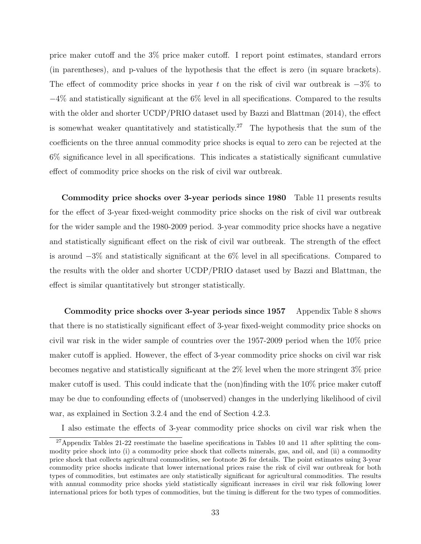price maker cutoff and the 3% price maker cutoff. I report point estimates, standard errors (in parentheses), and p-values of the hypothesis that the effect is zero (in square brackets). The effect of commodity price shocks in year t on the risk of civil war outbreak is  $-3\%$  to −4% and statistically significant at the 6% level in all specifications. Compared to the results with the older and shorter UCDP/PRIO dataset used by Bazzi and Blattman (2014), the effect is somewhat weaker quantitatively and statistically.<sup>27</sup> The hypothesis that the sum of the coefficients on the three annual commodity price shocks is equal to zero can be rejected at the 6% significance level in all specifications. This indicates a statistically significant cumulative effect of commodity price shocks on the risk of civil war outbreak.

Commodity price shocks over 3-year periods since 1980 Table 11 presents results for the effect of 3-year fixed-weight commodity price shocks on the risk of civil war outbreak for the wider sample and the 1980-2009 period. 3-year commodity price shocks have a negative and statistically significant effect on the risk of civil war outbreak. The strength of the effect is around −3% and statistically significant at the 6% level in all specifications. Compared to the results with the older and shorter UCDP/PRIO dataset used by Bazzi and Blattman, the effect is similar quantitatively but stronger statistically.

Commodity price shocks over 3-year periods since 1957 Appendix Table 8 shows that there is no statistically significant effect of 3-year fixed-weight commodity price shocks on civil war risk in the wider sample of countries over the 1957-2009 period when the 10% price maker cutoff is applied. However, the effect of 3-year commodity price shocks on civil war risk becomes negative and statistically significant at the 2% level when the more stringent 3% price maker cutoff is used. This could indicate that the (non)finding with the 10% price maker cutoff may be due to confounding effects of (unobserved) changes in the underlying likelihood of civil war, as explained in Section 3.2.4 and the end of Section 4.2.3.

I also estimate the effects of 3-year commodity price shocks on civil war risk when the

<sup>&</sup>lt;sup>27</sup>Appendix Tables 21-22 reestimate the baseline specifications in Tables 10 and 11 after splitting the commodity price shock into (i) a commodity price shock that collects minerals, gas, and oil, and (ii) a commodity price shock that collects agricultural commodities, see footnote 26 for details. The point estimates using 3-year commodity price shocks indicate that lower international prices raise the risk of civil war outbreak for both types of commodities, but estimates are only statistically significant for agricultural commodities. The results with annual commodity price shocks yield statistically significant increases in civil war risk following lower international prices for both types of commodities, but the timing is different for the two types of commodities.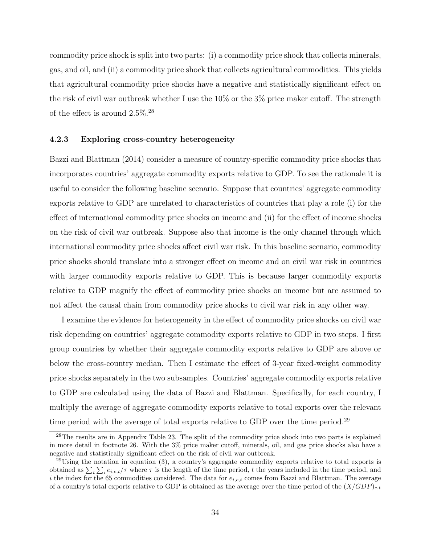commodity price shock is split into two parts: (i) a commodity price shock that collects minerals, gas, and oil, and (ii) a commodity price shock that collects agricultural commodities. This yields that agricultural commodity price shocks have a negative and statistically significant effect on the risk of civil war outbreak whether I use the 10% or the 3% price maker cutoff. The strength of the effect is around 2.5%.<sup>28</sup>

#### 4.2.3 Exploring cross-country heterogeneity

Bazzi and Blattman (2014) consider a measure of country-specific commodity price shocks that incorporates countries' aggregate commodity exports relative to GDP. To see the rationale it is useful to consider the following baseline scenario. Suppose that countries' aggregate commodity exports relative to GDP are unrelated to characteristics of countries that play a role (i) for the effect of international commodity price shocks on income and (ii) for the effect of income shocks on the risk of civil war outbreak. Suppose also that income is the only channel through which international commodity price shocks affect civil war risk. In this baseline scenario, commodity price shocks should translate into a stronger effect on income and on civil war risk in countries with larger commodity exports relative to GDP. This is because larger commodity exports relative to GDP magnify the effect of commodity price shocks on income but are assumed to not affect the causal chain from commodity price shocks to civil war risk in any other way.

I examine the evidence for heterogeneity in the effect of commodity price shocks on civil war risk depending on countries' aggregate commodity exports relative to GDP in two steps. I first group countries by whether their aggregate commodity exports relative to GDP are above or below the cross-country median. Then I estimate the effect of 3-year fixed-weight commodity price shocks separately in the two subsamples. Countries' aggregate commodity exports relative to GDP are calculated using the data of Bazzi and Blattman. Specifically, for each country, I multiply the average of aggregate commodity exports relative to total exports over the relevant time period with the average of total exports relative to GDP over the time period.<sup>29</sup>

<sup>&</sup>lt;sup>28</sup>The results are in Appendix Table 23. The split of the commodity price shock into two parts is explained in more detail in footnote 26. With the 3% price maker cutoff, minerals, oil, and gas price shocks also have a negative and statistically significant effect on the risk of civil war outbreak.

 $^{29}$ Using the notation in equation (3), a country's aggregate commodity exports relative to total exports is obtained as  $\sum_{t} \sum_{i} e_{i,c,t}/\tau$  where  $\tau$  is the length of the time period, t the years included in the time period, and i the index for the 65 commodities considered. The data for  $e_{i,c,t}$  comes from Bazzi and Blattman. The average of a country's total exports relative to GDP is obtained as the average over the time period of the  $(X/GDP)_{c,t}$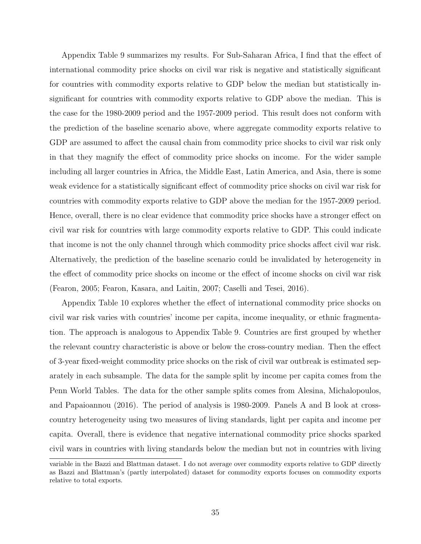Appendix Table 9 summarizes my results. For Sub-Saharan Africa, I find that the effect of international commodity price shocks on civil war risk is negative and statistically significant for countries with commodity exports relative to GDP below the median but statistically insignificant for countries with commodity exports relative to GDP above the median. This is the case for the 1980-2009 period and the 1957-2009 period. This result does not conform with the prediction of the baseline scenario above, where aggregate commodity exports relative to GDP are assumed to affect the causal chain from commodity price shocks to civil war risk only in that they magnify the effect of commodity price shocks on income. For the wider sample including all larger countries in Africa, the Middle East, Latin America, and Asia, there is some weak evidence for a statistically significant effect of commodity price shocks on civil war risk for countries with commodity exports relative to GDP above the median for the 1957-2009 period. Hence, overall, there is no clear evidence that commodity price shocks have a stronger effect on civil war risk for countries with large commodity exports relative to GDP. This could indicate that income is not the only channel through which commodity price shocks affect civil war risk. Alternatively, the prediction of the baseline scenario could be invalidated by heterogeneity in the effect of commodity price shocks on income or the effect of income shocks on civil war risk (Fearon, 2005; Fearon, Kasara, and Laitin, 2007; Caselli and Tesei, 2016).

Appendix Table 10 explores whether the effect of international commodity price shocks on civil war risk varies with countries' income per capita, income inequality, or ethnic fragmentation. The approach is analogous to Appendix Table 9. Countries are first grouped by whether the relevant country characteristic is above or below the cross-country median. Then the effect of 3-year fixed-weight commodity price shocks on the risk of civil war outbreak is estimated separately in each subsample. The data for the sample split by income per capita comes from the Penn World Tables. The data for the other sample splits comes from Alesina, Michalopoulos, and Papaioannou (2016). The period of analysis is 1980-2009. Panels A and B look at crosscountry heterogeneity using two measures of living standards, light per capita and income per capita. Overall, there is evidence that negative international commodity price shocks sparked civil wars in countries with living standards below the median but not in countries with living

variable in the Bazzi and Blattman dataset. I do not average over commodity exports relative to GDP directly as Bazzi and Blattman's (partly interpolated) dataset for commodity exports focuses on commodity exports relative to total exports.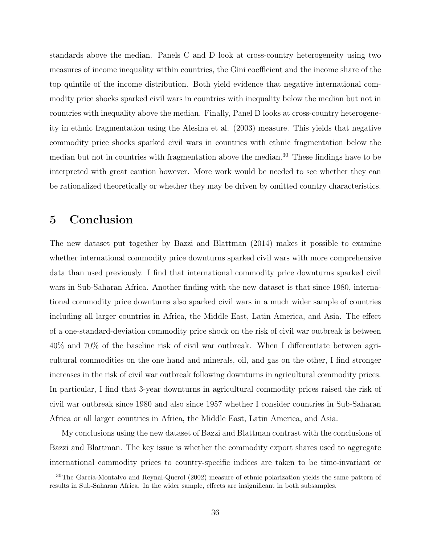standards above the median. Panels C and D look at cross-country heterogeneity using two measures of income inequality within countries, the Gini coefficient and the income share of the top quintile of the income distribution. Both yield evidence that negative international commodity price shocks sparked civil wars in countries with inequality below the median but not in countries with inequality above the median. Finally, Panel D looks at cross-country heterogeneity in ethnic fragmentation using the Alesina et al. (2003) measure. This yields that negative commodity price shocks sparked civil wars in countries with ethnic fragmentation below the median but not in countries with fragmentation above the median.<sup>30</sup> These findings have to be interpreted with great caution however. More work would be needed to see whether they can be rationalized theoretically or whether they may be driven by omitted country characteristics.

# 5 Conclusion

The new dataset put together by Bazzi and Blattman (2014) makes it possible to examine whether international commodity price downturns sparked civil wars with more comprehensive data than used previously. I find that international commodity price downturns sparked civil wars in Sub-Saharan Africa. Another finding with the new dataset is that since 1980, international commodity price downturns also sparked civil wars in a much wider sample of countries including all larger countries in Africa, the Middle East, Latin America, and Asia. The effect of a one-standard-deviation commodity price shock on the risk of civil war outbreak is between 40% and 70% of the baseline risk of civil war outbreak. When I differentiate between agricultural commodities on the one hand and minerals, oil, and gas on the other, I find stronger increases in the risk of civil war outbreak following downturns in agricultural commodity prices. In particular, I find that 3-year downturns in agricultural commodity prices raised the risk of civil war outbreak since 1980 and also since 1957 whether I consider countries in Sub-Saharan Africa or all larger countries in Africa, the Middle East, Latin America, and Asia.

My conclusions using the new dataset of Bazzi and Blattman contrast with the conclusions of Bazzi and Blattman. The key issue is whether the commodity export shares used to aggregate international commodity prices to country-specific indices are taken to be time-invariant or

<sup>30</sup>The Garcia-Montalvo and Reynal-Querol (2002) measure of ethnic polarization yields the same pattern of results in Sub-Saharan Africa. In the wider sample, effects are insignificant in both subsamples.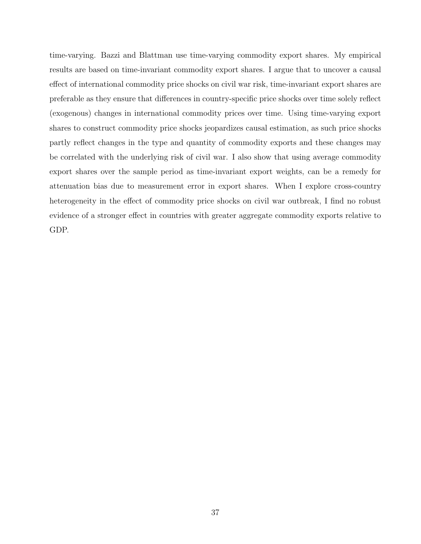time-varying. Bazzi and Blattman use time-varying commodity export shares. My empirical results are based on time-invariant commodity export shares. I argue that to uncover a causal effect of international commodity price shocks on civil war risk, time-invariant export shares are preferable as they ensure that differences in country-specific price shocks over time solely reflect (exogenous) changes in international commodity prices over time. Using time-varying export shares to construct commodity price shocks jeopardizes causal estimation, as such price shocks partly reflect changes in the type and quantity of commodity exports and these changes may be correlated with the underlying risk of civil war. I also show that using average commodity export shares over the sample period as time-invariant export weights, can be a remedy for attenuation bias due to measurement error in export shares. When I explore cross-country heterogeneity in the effect of commodity price shocks on civil war outbreak, I find no robust evidence of a stronger effect in countries with greater aggregate commodity exports relative to GDP.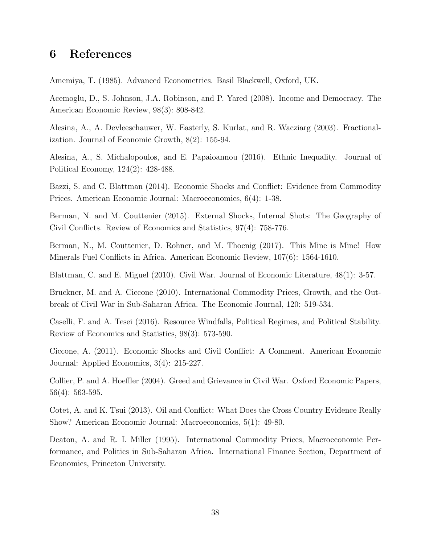# 6 References

Amemiya, T. (1985). Advanced Econometrics. Basil Blackwell, Oxford, UK.

Acemoglu, D., S. Johnson, J.A. Robinson, and P. Yared (2008). Income and Democracy. The American Economic Review, 98(3): 808-842.

Alesina, A., A. Devleeschauwer, W. Easterly, S. Kurlat, and R. Wacziarg (2003). Fractionalization. Journal of Economic Growth, 8(2): 155-94.

Alesina, A., S. Michalopoulos, and E. Papaioannou (2016). Ethnic Inequality. Journal of Political Economy, 124(2): 428-488.

Bazzi, S. and C. Blattman (2014). Economic Shocks and Conflict: Evidence from Commodity Prices. American Economic Journal: Macroeconomics, 6(4): 1-38.

Berman, N. and M. Couttenier (2015). External Shocks, Internal Shots: The Geography of Civil Conflicts. Review of Economics and Statistics, 97(4): 758-776.

Berman, N., M. Couttenier, D. Rohner, and M. Thoenig (2017). This Mine is Mine! How Minerals Fuel Conflicts in Africa. American Economic Review, 107(6): 1564-1610.

Blattman, C. and E. Miguel (2010). Civil War. Journal of Economic Literature, 48(1): 3-57.

Bruckner, M. and A. Ciccone (2010). International Commodity Prices, Growth, and the Outbreak of Civil War in Sub-Saharan Africa. The Economic Journal, 120: 519-534.

Caselli, F. and A. Tesei (2016). Resource Windfalls, Political Regimes, and Political Stability. Review of Economics and Statistics, 98(3): 573-590.

Ciccone, A. (2011). Economic Shocks and Civil Conflict: A Comment. American Economic Journal: Applied Economics, 3(4): 215-227.

Collier, P. and A. Hoeffler (2004). Greed and Grievance in Civil War. Oxford Economic Papers, 56(4): 563-595.

Cotet, A. and K. Tsui (2013). Oil and Conflict: What Does the Cross Country Evidence Really Show? American Economic Journal: Macroeconomics, 5(1): 49-80.

Deaton, A. and R. I. Miller (1995). International Commodity Prices, Macroeconomic Performance, and Politics in Sub-Saharan Africa. International Finance Section, Department of Economics, Princeton University.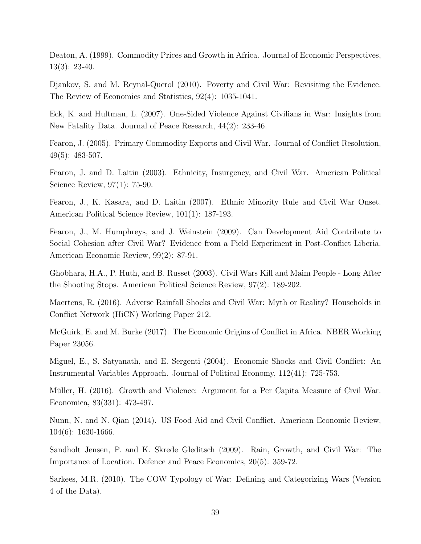Deaton, A. (1999). Commodity Prices and Growth in Africa. Journal of Economic Perspectives, 13(3): 23-40.

Djankov, S. and M. Reynal-Querol (2010). Poverty and Civil War: Revisiting the Evidence. The Review of Economics and Statistics, 92(4): 1035-1041.

Eck, K. and Hultman, L. (2007). One-Sided Violence Against Civilians in War: Insights from New Fatality Data. Journal of Peace Research, 44(2): 233-46.

Fearon, J. (2005). Primary Commodity Exports and Civil War. Journal of Conflict Resolution, 49(5): 483-507.

Fearon, J. and D. Laitin (2003). Ethnicity, Insurgency, and Civil War. American Political Science Review, 97(1): 75-90.

Fearon, J., K. Kasara, and D. Laitin (2007). Ethnic Minority Rule and Civil War Onset. American Political Science Review, 101(1): 187-193.

Fearon, J., M. Humphreys, and J. Weinstein (2009). Can Development Aid Contribute to Social Cohesion after Civil War? Evidence from a Field Experiment in Post-Conflict Liberia. American Economic Review, 99(2): 87-91.

Ghobhara, H.A., P. Huth, and B. Russet (2003). Civil Wars Kill and Maim People - Long After the Shooting Stops. American Political Science Review, 97(2): 189-202.

Maertens, R. (2016). Adverse Rainfall Shocks and Civil War: Myth or Reality? Households in Conflict Network (HiCN) Working Paper 212.

McGuirk, E. and M. Burke (2017). The Economic Origins of Conflict in Africa. NBER Working Paper 23056.

Miguel, E., S. Satyanath, and E. Sergenti (2004). Economic Shocks and Civil Conflict: An Instrumental Variables Approach. Journal of Political Economy, 112(41): 725-753.

Müller, H. (2016). Growth and Violence: Argument for a Per Capita Measure of Civil War. Economica, 83(331): 473-497.

Nunn, N. and N. Qian (2014). US Food Aid and Civil Conflict. American Economic Review, 104(6): 1630-1666.

Sandholt Jensen, P. and K. Skrede Gleditsch (2009). Rain, Growth, and Civil War: The Importance of Location. Defence and Peace Economics, 20(5): 359-72.

Sarkees, M.R. (2010). The COW Typology of War: Defining and Categorizing Wars (Version 4 of the Data).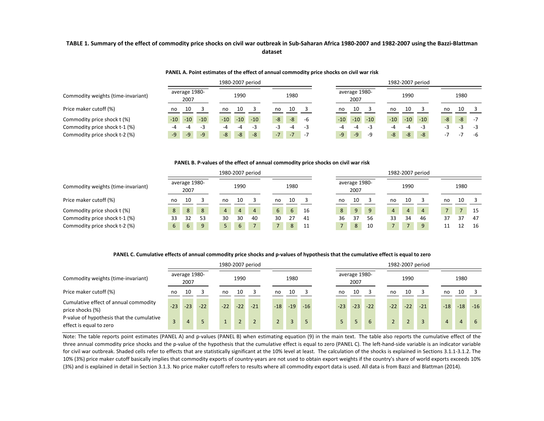#### TABLE 1. Summary of the effect of commodity price shocks on civil war outbreak in Sub-Saharan Africa 1980-2007 and 1982-2007 using the Bazzi-Blattman **dataset**

#### **PANEL A. Point estimates of the effect of annual commodity price shocks on civil war risk**

|                                    |                         | 1980-2007 period        |                      | 1982-2007 period                                                              |      |
|------------------------------------|-------------------------|-------------------------|----------------------|-------------------------------------------------------------------------------|------|
| Commodity weights (time-invariant) | average 1980-<br>2007   | 1990                    | 1980                 | average 1980-<br>1990<br>1980<br>2007                                         |      |
| Price maker cutoff (%)             | 10<br>no                | 10<br>no                | 10<br>no             | 10<br>10<br>10<br>no<br>no<br>no                                              |      |
| Commodity price shock t (%)        | $-10$<br>$-10$<br>$-10$ | $-10$<br>$-10$<br>$-10$ | $-8$<br>$-8$<br>-6   | $-8$<br>$-10$<br>$-10$<br>$-10$<br>$-8$<br>$-10$<br>$-10$<br>$-10$            | $-7$ |
| Commodity price shock t-1 (%)      | -4<br>-5                | -4<br>-3                | -3<br>$-\mu$         | $-3$<br>-4<br>- 5<br>-3                                                       | -3   |
| Commodity price shock t-2 (%)      | $-9'$<br>$-9$<br>$-9$   | $-8$<br>$-8$<br>$-8$    | $-7$<br>$-7$<br>$-7$ | $-8$<br>$-9$<br>$-8$<br>$-8$<br>$-9$<br>-9<br>- 1<br>$\overline{\phantom{0}}$ | -6   |

#### **PANEL B. P‐values of the effect of annual commodity price shocks on civil war risk**

|                                    |                       |    |    |                |                | 1980-2007 period |    |      |    |                |                       |    |    |                | 1982-2007 period |    |      |     |
|------------------------------------|-----------------------|----|----|----------------|----------------|------------------|----|------|----|----------------|-----------------------|----|----|----------------|------------------|----|------|-----|
| Commodity weights (time-invariant) | average 1980-<br>2007 |    |    |                | 1990           |                  |    | 1980 |    |                | average 1980-<br>2007 |    |    | 1990           |                  |    | 1980 |     |
| Price maker cutoff (%)             | no                    | 10 |    | no             | 10             |                  | no | 10   |    | no             | 10                    |    | no | 10             |                  | no | 10   |     |
| Commodity price shock t (%)        | 8                     | 8  | 8  | $\overline{4}$ | $\overline{4}$ | $\overline{4}$   | 6  | 6    | 16 | 8 <sup>1</sup> | 9                     |    |    | $\overline{4}$ | $\overline{4}$   |    |      | -15 |
| Commodity price shock t-1 (%)      | 33                    | 32 | 53 | 30             | 30             | 40               | 30 | 27   | 41 | 36             | 37                    | 56 | 33 | 34             | 46               | 37 | 37   | -47 |
| Commodity price shock t-2 (%)      | 6                     | 6  | 9  |                | 6              | $\overline{7}$   |    | 8    | 11 | 7 <sup>1</sup> | 8                     | 10 |    |                | 9                | 11 | 12   | 16  |

#### PANEL C. Cumulative effects of annual commodity price shocks and p-values of hypothesis that the cumulative effect is equal to zero

| 1980-2007 period                                                     |                                   |       |       |       |                |                |  |                |       |       |       |                       |       | 1982-2007 period |       |                |                |                |       |
|----------------------------------------------------------------------|-----------------------------------|-------|-------|-------|----------------|----------------|--|----------------|-------|-------|-------|-----------------------|-------|------------------|-------|----------------|----------------|----------------|-------|
| Commodity weights (time-invariant)                                   | average 1980-<br>2007<br>10<br>no |       |       |       | 1990           |                |  |                | 1980  |       |       | average 1980-<br>2007 |       |                  | 1990  |                |                | 1980           |       |
| Price maker cutoff (%)                                               |                                   |       |       | no    | 10             |                |  | no             | 10    |       | no    | 10                    |       | no               | 10    |                | no             | 10             |       |
| Cumulative effect of annual commodity<br>price shocks (%)            | $-23$                             | $-23$ | $-22$ | $-22$ | $-22$          | $-21$          |  | $-18$          | $-19$ | $-16$ | $-23$ | $-23$                 | $-22$ | $-22$            | $-22$ | $-21$          | $-18$          | $-18$          | $-16$ |
| P-value of hypothesis that the cumulative<br>effect is equal to zero |                                   | 4     |       |       | $\overline{2}$ | $\overline{2}$ |  | $\overline{2}$ |       | 5     | $5 -$ | 5                     | 6     |                  |       | $\overline{3}$ | $\overline{4}$ | $\overline{4}$ | -6    |

Note: The table reports point estimates (PANEL A) and p-values (PANEL B) when estimating equation (9) in the main text. The table also reports the cumulative effect of the three annual commodity price shocks and the p-value of the hypothesis that the cumulative effect is equal to zero (PANEL C). The left-hand-side variable is an indicator variable for civil war outbreak. Shaded cells refer to effects that are statistically significant at the 10% level at least. The calculation of the shocks is explained in Sections 3.1.1-3.1.2. The 10% (3%) price maker cutoff basically implies that commodity exports of country-years are not used to obtain export weights if the country's share of world exports exceeds 10% (3%) and is explained in detail in Section 3.1.3. No price maker cutoff refers to results where all commodity export data is used. All data is from Bazzi and Blattman (2014).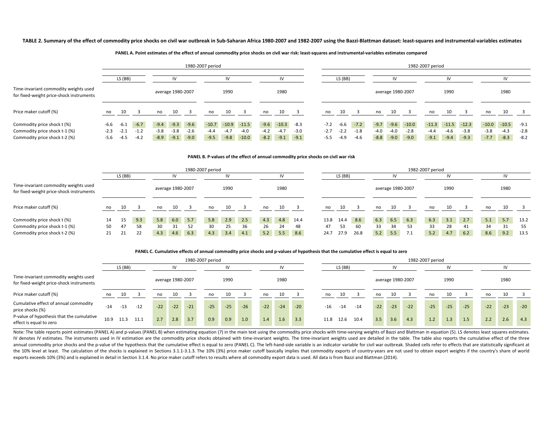#### TABLE 2. Summary of the effect of commodity price shocks on civil war outbreak in Sub-Saharan Africa 1980-2007 and 1982-2007 using the Bazzi-Blattman dataset: least-squares and instrumental-variables estimates

#### PANEL A. Point estimates of the effect of annual commodity price shocks on civil war risk: least-squares and instrumental-variables estimates compared

|                                                                                   |        | 1980-2007 period |        |        |                   |        |         |         |         |        |         |        |        |         |        |        |                   |         | 1982-2007 period |         |         |         |         |        |
|-----------------------------------------------------------------------------------|--------|------------------|--------|--------|-------------------|--------|---------|---------|---------|--------|---------|--------|--------|---------|--------|--------|-------------------|---------|------------------|---------|---------|---------|---------|--------|
|                                                                                   |        | LS (BB)          |        |        | IV                |        |         |         |         |        |         |        |        | LS (BB) |        |        | ı٧                |         |                  |         |         |         | IV      |        |
| Time-invariant commodity weights used<br>for fixed-weight price-shock instruments |        |                  |        |        | average 1980-2007 |        |         | 1990    |         |        | 1980    |        |        |         |        |        | average 1980-2007 |         |                  | 1990    |         |         | 1980    |        |
| Price maker cutoff (%)                                                            | no     |                  |        | no     | 10                |        | no      | 10      |         | no     | 10      |        | no     | 10      |        | no     |                   |         | no               |         |         | no      | 10      |        |
| Commodity price shock t (%)                                                       | -6.6   | -6.1             | $-6.7$ | $-9.4$ | $-9.3$            | $-9.6$ | $-10.7$ | $-10.9$ | $-11.5$ | $-9.6$ | $-10.3$ | $-8.3$ | $-7.2$ | -6.6    | $-7.2$ | $-9.7$ | $-9.6$            | $-10.0$ | $-11.3$          | $-11.5$ | $-12.3$ | $-10.0$ | $-10.5$ | $-9.1$ |
| Commodity price shock t-1 (%)                                                     | $-2.3$ | $-2.1$           | $-1.2$ | $-3.8$ | -3.8              | $-2.6$ | $-4.4$  | $-4.7$  | $-4.0$  | $-4.2$ | $-4.7$  | $-3.0$ | $-2.7$ | $-2.2$  | $-1.8$ | -4.0   | -4.0              | $-2.8$  | $-4.4$           | -4.6    | $-3.8$  | $-3.8$  | $-4.3$  | $-2.8$ |
| Commodity price shock t-2 (%)                                                     | -5.6   | -4.5             | $-4.2$ | $-8.9$ | $-9.1$            | $-9.0$ | $-9.5$  | $-9.8$  | $-10.0$ | $-8.2$ | $-9.1$  | $-9.1$ | $-5.5$ | $-4.9$  | $-4.6$ | $-8.8$ | $-9.0$            | $-9.0$  | $-9.1$           | $-9.4$  | $-9.3$  | $-7.7$  | $-8.3$  | $-8.2$ |

#### **PANEL B. P‐values of the effect of annual commodity price shocks on civil war risk**

|                                                                                   |    | 1980-2007 period |     |     |                   |     |     |      |     |     |      |      |      |         |      |     |                   |     | 1982-2007 period |      |     |     |      |      |
|-----------------------------------------------------------------------------------|----|------------------|-----|-----|-------------------|-----|-----|------|-----|-----|------|------|------|---------|------|-----|-------------------|-----|------------------|------|-----|-----|------|------|
|                                                                                   |    | LS (BB)          |     |     |                   |     |     | IV   |     |     | IV   |      |      | LS (BB) |      |     | IV                |     |                  | I٧   |     |     | IV   |      |
| Time-invariant commodity weights used<br>for fixed-weight price-shock instruments |    |                  |     |     | average 1980-2007 |     |     | 1990 |     |     | 1980 |      |      |         |      |     | average 1980-2007 |     |                  | 1990 |     |     | 1980 |      |
| Price maker cutoff (%)                                                            | no | 10               |     | no  | 10                |     | no  | 10   |     | no  | 10   |      | no   | 10      |      | no  | 10                |     | no               | 10   |     | no  | 10   |      |
| Commodity price shock t (%)                                                       | 14 | 15               | 9.3 | 5.8 | 6.0               | 5.7 | 5.8 | 2.9  | 2.5 | 4.3 | 4.8  | 14.4 | 13.8 | 14.4    | 8.6  | 6.3 | 6.5               | 6.3 | 6.3              | 3.1  | 2.7 | 5.1 | 5.7  | 13.2 |
| Commodity price shock t-1 (%)                                                     | 50 | 47               | 58  | 30  | 31                | 52  | 30  | 25   | 36  | 26  | 24   | 48   | 47   | 53      | 60   | 33  | 34                | 53  | 33               | 28   | -41 | 34  | -31  | 55   |
| Commodity price shock t-2 (%)                                                     | 21 | 21               | 22  | 4.3 | 4.6               | 6.3 | 4.3 | 3.4  | 4.1 | 5.2 | 5.5  | 8.6  | 24.7 | 27.9    | 26.8 | 5.2 | 5.5               | 7.1 | 5.2              | 4.7  | 6.2 | 8.6 | 9.2  | 13.5 |

#### PANEL C. Cumulative effects of annual commodity price shocks and p-values of hypothesis that the cumulative effect is equal to zero

|                                                                                   |       |         | 1980-2007 period |       |                   |       |       |       |       |       |       |       |       |           |       |       |                   |       | 1982-2007 period |       |       |       |       |       |
|-----------------------------------------------------------------------------------|-------|---------|------------------|-------|-------------------|-------|-------|-------|-------|-------|-------|-------|-------|-----------|-------|-------|-------------------|-------|------------------|-------|-------|-------|-------|-------|
|                                                                                   |       | LS (BB) |                  |       | <b>IV</b>         |       |       |       |       |       |       |       |       | LS (BB)   |       |       |                   |       |                  | IV    |       |       | IV    |       |
| Time-invariant commodity weights used<br>for fixed-weight price-shock instruments |       |         |                  |       | average 1980-2007 |       |       | 1990  |       |       | 1980  |       |       |           |       |       | average 1980-2007 |       |                  | 1990  |       |       | 1980  |       |
| Price maker cutoff (%)                                                            | no    | 10      |                  | no    | 10                |       | no    | 10    |       | no    | 10    |       | no    | 10        |       | no    | 10                |       | no               | 10    |       | no    | 10    |       |
| Cumulative effect of annual commodity<br>price shocks (%)                         | $-14$ | $-13$   | $-12$            | $-22$ | $-22$             | $-21$ | $-25$ | $-25$ | $-26$ | $-22$ | $-24$ | $-20$ | $-16$ | $-14$     | $-14$ | $-22$ | $-23$             | $-22$ | $-25$            | $-25$ | $-25$ | $-22$ | $-23$ | $-20$ |
| P-value of hypothesis that the cumulative<br>effect is equal to zero              | 10.9  | 11.3    | 11.1             | 2.7   | 2.8               | 3.7   | 0.9   | 0.9   | 1.0   | 1.4   | 1.6   | 3.3   | 11.8  | 12.6 10.4 |       | 3.5   | 3.6               | 4.3   | 1.2              | 1.3   | 1.5   | 2.2   | 2.6   | 4.3   |

Note: The table reports point estimates (PANEL A) and p-values (PANEL B) when estimating equation (7) in the main text using the commodity price shocks with time-varying weights of Bazzi and Blattman in equation (5). LS de IV denotes IV estimates. The instruments used in IV estimation are the commodity price shocks obtained with time-invariant weights. The time-invariant weights used are detailed in the table. The table also reports the cumu annual commodity price shocks and the p-value of the hypothesis that the cumulative effect is equal to zero (PANEL C). The left-hand-side variable is an indicator variable for civil war outbreak. Shaded cells refer to effe the 10% level at least. The calculation of the shocks is explained in Sections 3.1.1-3.1.3. The 10% (3%) price maker cutoff basically implies that commodity exports of country-years are not used to obtain export weights if exports exceeds 10% (3%) and is explained in detail in Section 3.1.4. No price maker cutoff refers to results where all commodity export data is used. All data is from Bazzi and Blattman (2014).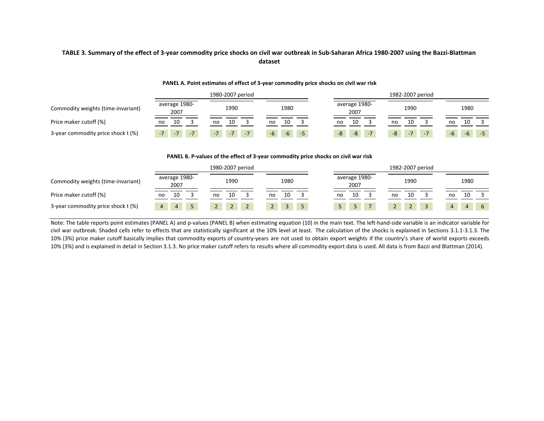#### TABLE 3. Summary of the effect of 3-year commodity price shocks on civil war outbreak in Sub-Saharan Africa 1980-2007 using the Bazzi-Blattman **dataset**

|                                    |                       | 1980-2007 period |       |                       | 1982-2007 period |      |
|------------------------------------|-----------------------|------------------|-------|-----------------------|------------------|------|
| Commodity weights (time-invariant) | average 1980-<br>2007 | 1990             | 1980  | average 1980-<br>2007 | 1990             | 1980 |
| Price maker cutoff (%)             | 10                    | 10               | 10    | 10                    | 10               | 10   |
|                                    | no                    | no               | no    | no                    | no               | no   |
| 3-year commodity price shock t (%) | $-7$                  | $-7$             | $-6$  | $-7$                  | $-7$             | -6   |
|                                    | $-7$                  | $-7$             | $-5'$ | -8                    | $-7$             | $-6$ |
|                                    | $-7$                  | $-7$             | -6    | $-8$                  | -8               | $-5$ |

#### **PANEL A. Point estimates of effect of <sup>3</sup>‐year commodity price shocks on civil war risk**

#### **PANEL B. P‐values of the effect of 3‐year commodity price shocks on civil war risk**

|                                    |          |                       |                | 1980-2007 period |      |  |  |    |              |  |    |                       | 1982-2007 period |                |                |            |   |
|------------------------------------|----------|-----------------------|----------------|------------------|------|--|--|----|--------------|--|----|-----------------------|------------------|----------------|----------------|------------|---|
| Commodity weights (time-invariant) |          | average 1980-<br>2007 |                |                  | 1990 |  |  |    | 1980         |  |    | average 1980-<br>2007 |                  | 1990           |                | 1980       |   |
| Price maker cutoff (%)             | no       | 10                    |                | no               | 10   |  |  | no | 10           |  | no | 10                    | no               | 10             | no             |            |   |
| 3-year commodity price shock t (%) | $\Delta$ | $\Delta$              | 5 <sup>7</sup> |                  |      |  |  |    | $\mathbf{3}$ |  |    | 5 <sup>1</sup>        |                  | $\overline{2}$ | $\overline{4}$ | $\sqrt{4}$ | 6 |

Note: The table reports point estimates (PANEL A) and p‐values (PANEL B) when estimating equation (10) in the main text. The left‐hand‐side variable is an indicator variable for civil war outbreak. Shaded cells refer to effects that are statistically significant at the 10% level at least. The calculation of the shocks is explained in Sections 3.1.1-3.1.3. The statistically significant at the 10% l 10% (3%) price maker cutoff basically implies that commodity exports of country-years are not used to obtain export weights if the country's share of world exports exceeds 10% (3%) and is explained in detail in Section 3.1.3. No price maker cutoff refers to results where all commodity export data is used. All data is from Bazzi and Blattman (2014).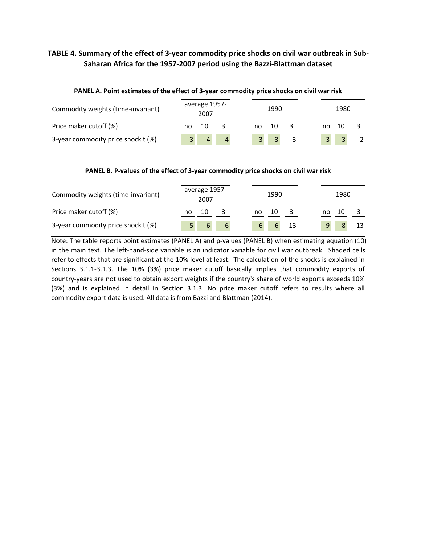# TABLE 4. Summary of the effect of 3-year commodity price shocks on civil war outbreak in Sub-**Saharan Africa for the 1957‐2007 period using the Bazzi‐Blattman dataset**

| PANEL A. Point estimates of the effect of 3-year commodity price shocks on civil war risk |                       |                      |              |
|-------------------------------------------------------------------------------------------|-----------------------|----------------------|--------------|
| Commodity weights (time-invariant)                                                        | average 1957-<br>2007 | 1990                 | 1980         |
| Price maker cutoff (%)                                                                    | 10<br>no              | 10<br>no             | 10<br>no     |
| 3-year commodity price shock t (%)                                                        | $-4$                  | $-3$<br>$-3$<br>$-3$ | $-3$<br>$-2$ |

#### **PANEL A. Point estimates of the effect of 3‐year commodity price shocks on civil war risk**

#### **PANEL B. P‐values of the effect of 3‐year commodity price shocks on civil war risk**

| Commodity weights (time-invariant) | average 1957-<br>2007 | 1990         | 1980 |
|------------------------------------|-----------------------|--------------|------|
| Price maker cutoff (%)             | 10<br>no              | 10           | 10   |
| 3-year commodity price shock t (%) | 6<br>6                | 13<br>6<br>6 | 9    |

Note: The table reports point estimates (PANEL A) and p‐values (PANEL B) when estimating equation (10) in the main text. The left-hand-side variable is an indicator variable for civil war outbreak. Shaded cells refer to effects that are significant at the 10% level at least. The calculation of the shocks is explained in Sections 3.1.1‐3.1.3. The 10% (3%) price maker cutoff basically implies that commodity exports of country-years are not used to obtain export weights if the country's share of world exports exceeds 10% (3%) and is explained in detail in Section 3.1.3. No price maker cutoff refers to results where all commodity export data is used. All data is from Bazzi and Blattman (2014).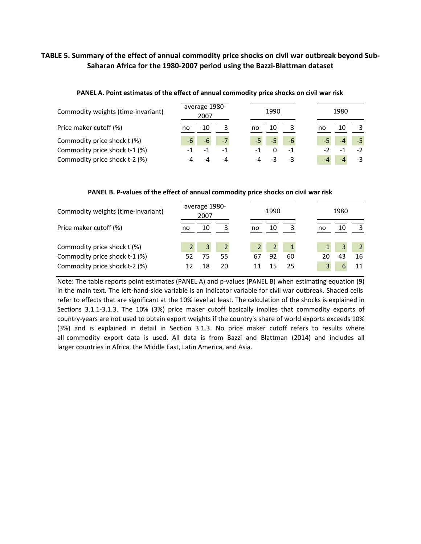## TABLE 5. Summary of the effect of annual commodity price shocks on civil war outbreak beyond Sub-**Saharan Africa for the 1980‐2007 period using the Bazzi‐Blattman dataset**

| Commodity weights (time-invariant) |    | average 1980-<br>2007 |      |    | 1990 |      |    | 1980 |     |
|------------------------------------|----|-----------------------|------|----|------|------|----|------|-----|
| Price maker cutoff (%)             | no | 10                    |      | no | 10   |      | no | 10   |     |
| Commodity price shock t (%)        |    | $-6$                  | $-7$ |    |      | $-6$ |    |      |     |
| Commodity price shock t-1 (%)      |    | $\sim$ 1              | $-1$ | -1 |      | $-1$ |    |      | - 2 |
| Commodity price shock t-2 (%)      |    |                       | -4   |    |      |      |    |      |     |

#### **PANEL A. Point estimates of the effect of annual commodity price shocks on civil war risk**

#### **PANEL B. P‐values of the effect of annual commodity price shocks on civil war risk**

| Commodity weights (time-invariant) |    | average 1980-<br>2007 |    |    | 1990 |    |    | 1980 |    |
|------------------------------------|----|-----------------------|----|----|------|----|----|------|----|
| Price maker cutoff (%)             | no | 10                    |    | no | 10   |    | no | 10   |    |
| Commodity price shock t (%)        |    | 3                     |    |    |      |    |    |      |    |
| Commodity price shock t-1 (%)      |    | 75                    | 55 | 67 | 92   | 60 | 20 |      | 16 |
| Commodity price shock t-2 (%)      |    | 18                    | 20 |    | 15   | 25 |    |      |    |

Note: The table reports point estimates (PANEL A) and p‐values (PANEL B) when estimating equation (9) in the main text. The left-hand-side variable is an indicator variable for civil war outbreak. Shaded cells refer to effects that are significant at the 10% level at least. The calculation of the shocks is explained in Sections 3.1.1‐3.1.3. The 10% (3%) price maker cutoff basically implies that commodity exports of country-years are not used to obtain export weights if the country's share of world exports exceeds 10% (3%) and is explained in detail in Section 3.1.3. No price maker cutoff refers to results where all commodity export data is used. All data is from Bazzi and Blattman (2014) and includes all larger countries in Africa, the Middle East, Latin America, and Asia.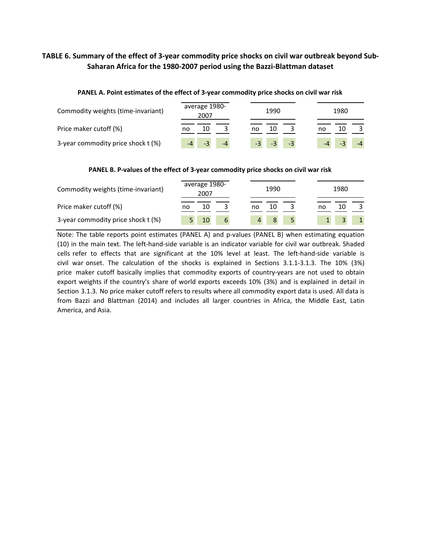## TABLE 6. Summary of the effect of 3-year commodity price shocks on civil war outbreak beyond Sub-**Saharan Africa for the 1980‐2007 period using the Bazzi‐Blattman dataset**

| Commodity weights (time-invariant) | average 1980-<br>2007 | 1990                 | 1980     |
|------------------------------------|-----------------------|----------------------|----------|
| Price maker cutoff (%)             | 10<br>no              | 10<br>no             | 10<br>no |
| 3-year commodity price shock t (%) | $-4$                  | $-3$<br>$-3$<br>$-3$ | $-4$     |

#### **PANEL A. Point estimates of the effect of 3‐year commodity price shocks on civil war risk**

#### **PANEL B. P‐values of the effect of 3‐year commodity price shocks on civil war risk**

| Commodity weights (time-invariant) | average 1980-<br>2007 | 1990     | 1980     |  |
|------------------------------------|-----------------------|----------|----------|--|
| Price maker cutoff (%)             | 10<br>no              | 10<br>no | 10<br>no |  |
| 3-year commodity price shock t (%) | 10<br>6               |          |          |  |

Note: The table reports point estimates (PANEL A) and p-values (PANEL B) when estimating equation (10) in the main text. The left‐hand‐side variable is an indicator variable for civil war outbreak. Shaded cells refer to effects that are significant at the 10% level at least. The left-hand-side variable is civil war onset. The calculation of the shocks is explained in Sections 3.1.1‐3.1.3. The 10% (3%) price maker cutoff basically implies that commodity exports of country-years are not used to obtain export weights if the country's share of world exports exceeds 10% (3%) and is explained in detail in Section 3.1.3. No price maker cutoff refers to results where all commodity export data is used. All data is from Bazzi and Blattman (2014) and includes all larger countries in Africa, the Middle East, Latin America, and Asia.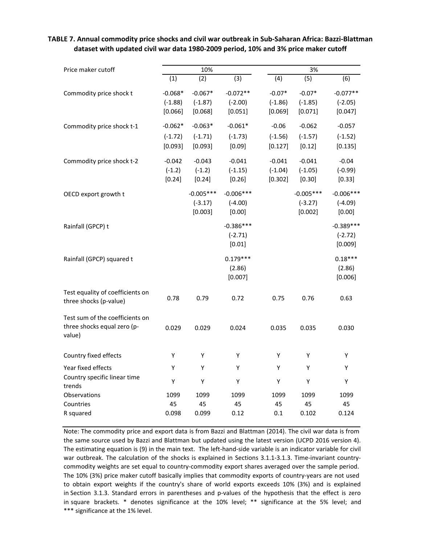| Price maker cutoff                                                       | 10%                               |                                     |                                    |                                  | 3%                                  |                                     |  |
|--------------------------------------------------------------------------|-----------------------------------|-------------------------------------|------------------------------------|----------------------------------|-------------------------------------|-------------------------------------|--|
|                                                                          | (1)                               | (2)                                 | (3)                                | $\overline{(4)}$                 | $\overline{(5)}$                    | (6)                                 |  |
| Commodity price shock t                                                  | $-0.068*$<br>$(-1.88)$<br>[0.066] | $-0.067*$<br>$(-1.87)$<br>[0.068]   | $-0.072**$<br>$(-2.00)$<br>[0.051] | $-0.07*$<br>$(-1.86)$<br>[0.069] | $-0.07*$<br>$(-1.85)$<br>[0.071]    | $-0.077**$<br>$(-2.05)$<br>[0.047]  |  |
| Commodity price shock t-1                                                | $-0.062*$<br>$(-1.72)$<br>[0.093] | $-0.063*$<br>$(-1.71)$<br>[0.093]   | $-0.061*$<br>$(-1.73)$<br>[0.09]   | $-0.06$<br>$(-1.56)$<br>[0.127]  | $-0.062$<br>$(-1.57)$<br>[0.12]     | $-0.057$<br>$(-1.52)$<br>[0.135]    |  |
| Commodity price shock t-2                                                | $-0.042$<br>$(-1.2)$<br>[0.24]    | $-0.043$<br>$(-1.2)$<br>[0.24]      | $-0.041$<br>$(-1.15)$<br>[0.26]    | $-0.041$<br>$(-1.04)$<br>[0.302] | $-0.041$<br>$(-1.05)$<br>[0.30]     | $-0.04$<br>$(-0.99)$<br>[0.33]      |  |
| OECD export growth t                                                     |                                   | $-0.005***$<br>$(-3.17)$<br>[0.003] | $-0.006***$<br>$(-4.00)$<br>[0.00] |                                  | $-0.005***$<br>$(-3.27)$<br>[0.002] | $-0.006***$<br>$(-4.09)$<br>[0.00]  |  |
| Rainfall (GPCP) t                                                        |                                   |                                     | $-0.386***$<br>$(-2.71)$<br>[0.01] |                                  |                                     | $-0.389***$<br>$(-2.72)$<br>[0.009] |  |
| Rainfall (GPCP) squared t                                                |                                   |                                     | $0.179***$<br>(2.86)<br>[0.007]    |                                  |                                     | $0.18***$<br>(2.86)<br>[0.006]      |  |
| Test equality of coefficients on<br>three shocks (p-value)               | 0.78                              | 0.79                                | 0.72                               | 0.75                             | 0.76                                | 0.63                                |  |
| Test sum of the coefficients on<br>three shocks equal zero (p-<br>value) | 0.029                             | 0.029                               | 0.024                              | 0.035                            | 0.035                               | 0.030                               |  |
| Country fixed effects                                                    | Υ                                 | Y                                   | Υ                                  | Υ                                | Y                                   | Y                                   |  |
| Year fixed effects                                                       | Υ                                 | Υ                                   | Υ                                  | Υ                                | Υ                                   | Υ                                   |  |
| Country specific linear time<br>trends                                   | Υ                                 | Υ                                   | Υ                                  | Υ                                | Υ                                   | Υ                                   |  |
| Observations                                                             | 1099                              | 1099                                | 1099                               | 1099                             | 1099                                | 1099                                |  |
| Countries                                                                | 45                                | 45                                  | 45<br>0.12                         | 45                               | 45                                  | 45                                  |  |
| R squared                                                                | 0.098                             | 0.099                               |                                    | 0.1                              | 0.102                               | 0.124                               |  |

TABLE 7. Annual commodity price shocks and civil war outbreak in Sub-Saharan Africa: Bazzi-Blattman **dataset with updated civil war data 1980‐2009 period, 10% and 3% price maker cutoff**

Note: The commodity price and export data is from Bazzi and Blattman (2014). The civil war data is from the same source used by Bazzi and Blattman but updated using the latest version (UCPD 2016 version 4). The estimating equation is (9) in the main text. The left-hand-side variable is an indicator variable for civil war outbreak. The calculation of the shocks is explained in Sections 3.1.1-3.1.3. Time-invariant countrycommodity weights are set equal to country‐commodity export shares averaged over the sample period. The 10% (3%) price maker cutoff basically implies that commodity exports of country-years are not used to obtain export weights if the country's share of world exports exceeds 10% (3%) and is explained in Section 3.1.3. Standard errors in parentheses and p-values of the hypothesis that the effect is zero in square brackets. \* denotes significance at the 10% level; \*\* significance at the 5% level; and \*\*\* significance at the 1% level.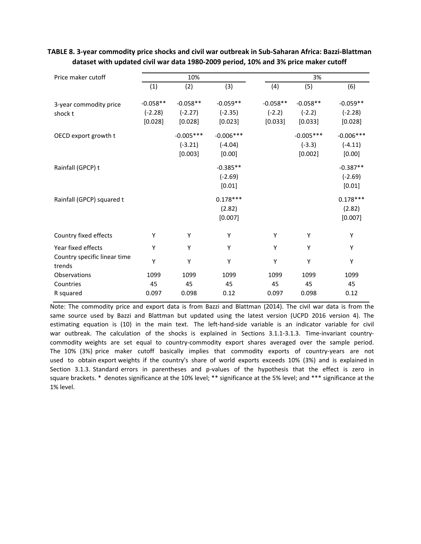| Price maker cutoff                     |                                    | 10%                                 |                                    | 3%                                |                                    |                                    |  |
|----------------------------------------|------------------------------------|-------------------------------------|------------------------------------|-----------------------------------|------------------------------------|------------------------------------|--|
|                                        |                                    |                                     |                                    |                                   |                                    |                                    |  |
|                                        | (1)                                | (2)                                 | (3)                                | (4)                               | (5)                                | (6)                                |  |
| 3-year commodity price<br>shock t      | $-0.058**$<br>$(-2.28)$<br>[0.028] | $-0.058**$<br>$(-2.27)$<br>[0.028]  | $-0.059**$<br>$(-2.35)$<br>[0.023] | $-0.058**$<br>$(-2.2)$<br>[0.033] | $-0.058**$<br>$(-2.2)$<br>[0.033]  | $-0.059**$<br>$(-2.28)$<br>[0.028] |  |
| OECD export growth t                   |                                    | $-0.005***$<br>$(-3.21)$<br>[0.003] | $-0.006***$<br>$(-4.04)$<br>[0.00] |                                   | $-0.005***$<br>$(-3.3)$<br>[0.002] | $-0.006***$<br>$(-4.11)$<br>[0.00] |  |
| Rainfall (GPCP) t                      |                                    |                                     | $-0.385**$<br>$(-2.69)$<br>[0.01]  |                                   |                                    | $-0.387**$<br>$(-2.69)$<br>[0.01]  |  |
| Rainfall (GPCP) squared t              |                                    |                                     | $0.178***$<br>(2.82)<br>[0.007]    |                                   |                                    | $0.178***$<br>(2.82)<br>[0.007]    |  |
| Country fixed effects                  | Υ                                  | Υ                                   | Υ                                  | Υ                                 | Υ                                  | Υ                                  |  |
| Year fixed effects                     | Y                                  | Υ                                   | Y                                  | Υ                                 | Υ                                  | Υ                                  |  |
| Country specific linear time<br>trends | Y                                  | Υ                                   | Y                                  | Υ                                 | Υ                                  | Υ                                  |  |
| Observations                           | 1099                               | 1099                                | 1099                               | 1099                              | 1099                               | 1099                               |  |
| Countries                              | 45                                 | 45                                  | 45                                 | 45                                | 45                                 | 45                                 |  |
| R squared                              | 0.097                              | 0.098                               | 0.12                               | 0.097                             | 0.098                              | 0.12                               |  |

TABLE 8. 3-year commodity price shocks and civil war outbreak in Sub-Saharan Africa: Bazzi-Blattman **dataset with updated civil war data 1980‐2009 period, 10% and 3% price maker cutoff**

Note: The commodity price and export data is from Bazzi and Blattman (2014). The civil war data is from the same source used by Bazzi and Blattman but updated using the latest version (UCPD 2016 version 4). The estimating equation is (10) in the main text. The left-hand-side variable is an indicator variable for civil war outbreak. The calculation of the shocks is explained in Sections 3.1.1-3.1.3. Time-invariant countrycommodity weights are set equal to country‐commodity export shares averaged over the sample period. The 10% (3%) price maker cutoff basically implies that commodity exports of country-years are not used to obtain export weights if the country's share of world exports exceeds 10% (3%) and is explained in Section 3.1.3. Standard errors in parentheses and p-values of the hypothesis that the effect is zero in square brackets. \* denotes significance at the 10% level; \*\* significance at the 5% level; and \*\*\* significance at the 1% level.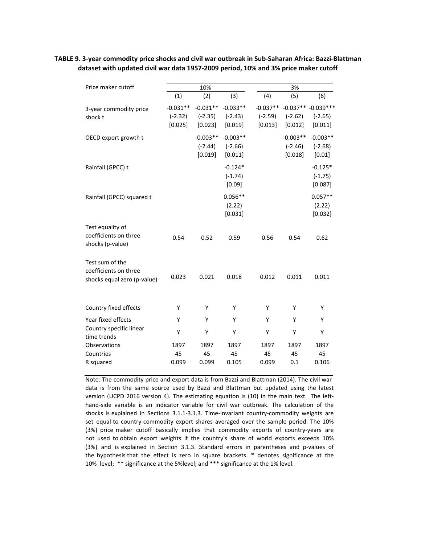#### TABLE 9. 3-year commodity price shocks and civil war outbreak in Sub-Saharan Africa: Bazzi-Blattman **dataset with updated civil war data 1957‐2009 period, 10% and 3% price maker cutoff**

| Price maker cutoff                                                      |                                    | 10%                                |                                    | 3%                                 |                                    |                                              |
|-------------------------------------------------------------------------|------------------------------------|------------------------------------|------------------------------------|------------------------------------|------------------------------------|----------------------------------------------|
|                                                                         | (1)                                | (2)                                | (3)                                | (4)                                | (5)                                | (6)                                          |
| 3-year commodity price<br>shock t                                       | $-0.031**$<br>$(-2.32)$<br>[0.025] | $-0.031**$<br>$(-2.35)$<br>[0.023] | $-0.033**$<br>$(-2.43)$<br>[0.019] | $-0.037**$<br>$(-2.59)$<br>[0.013] | $(-2.62)$<br>[0.012]               | $-0.037** -0.039***$<br>$(-2.65)$<br>[0.011] |
| OECD export growth t                                                    |                                    | $-0.003**$<br>$(-2.44)$<br>[0.019] | $-0.003**$<br>$(-2.66)$<br>[0.011] |                                    | $-0.003**$<br>$(-2.46)$<br>[0.018] | $-0.003**$<br>$(-2.68)$<br>[0.01]            |
| Rainfall (GPCC) t                                                       |                                    |                                    | $-0.124*$<br>$(-1.74)$<br>[0.09]   |                                    |                                    | $-0.125*$<br>$(-1.75)$<br>[0.087]            |
| Rainfall (GPCC) squared t                                               |                                    |                                    | $0.056**$<br>(2.22)<br>[0.031]     |                                    |                                    | $0.057**$<br>(2.22)<br>[0.032]               |
| Test equality of<br>coefficients on three<br>shocks (p-value)           | 0.54                               | 0.52                               | 0.59                               | 0.56                               | 0.54                               | 0.62                                         |
| Test sum of the<br>coefficients on three<br>shocks equal zero (p-value) | 0.023                              | 0.021                              | 0.018                              | 0.012                              | 0.011                              | 0.011                                        |
| Country fixed effects                                                   | Y                                  | Y                                  | Y                                  | Y                                  | Y                                  | Y                                            |
| Year fixed effects                                                      | Y                                  | Υ                                  | Y                                  | Y                                  | Υ                                  | Υ                                            |
| Country specific linear<br>time trends                                  | Υ                                  | Υ                                  | Y                                  | Υ                                  | Υ                                  | Y                                            |
| Observations                                                            | 1897                               | 1897                               | 1897                               | 1897                               | 1897                               | 1897                                         |
| Countries                                                               | 45                                 | 45                                 | 45                                 | 45                                 | 45                                 | 45                                           |
| R squared                                                               | 0.099                              | 0.099                              | 0.105                              | 0.099                              | 0.1                                | 0.106                                        |

Note: The commodity price and export data is from Bazzi and Blattman (2014). The civil war data is from the same source used by Bazzi and Blattman but updated using the latest version (UCPD 2016 version 4). The estimating equation is (10) in the main text. The lefthand‐side variable is an indicator variable for civil war outbreak. The calculation of the shocks is explained in Sections 3.1.1-3.1.3. Time-invariant country-commodity weights are set equal to country‐commodity export shares averaged over the sample period. The 10% (3%) price maker cutoff basically implies that commodity exports of country‐years are not used to obtain export weights if the country's share of world exports exceeds 10% (3%) and is explained in Section 3.1.3. Standard errors in parentheses and p-values of the hypothesis that the effect is zero in square brackets. \* denotes significance at the 10% level; \*\* significance at the 5%level; and \*\*\* significance at the 1% level.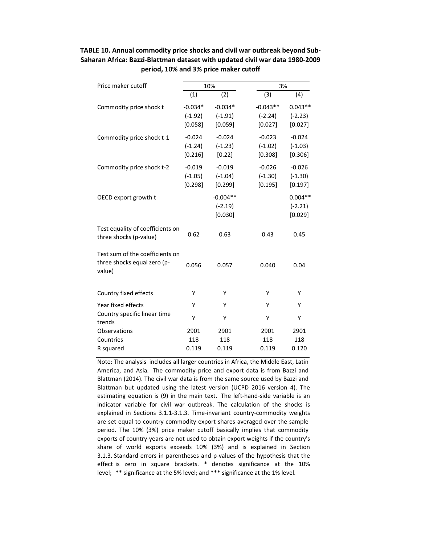| Price maker cutoff                                                       |                                   | 10%                                |                                    | 3%                                |  |  |
|--------------------------------------------------------------------------|-----------------------------------|------------------------------------|------------------------------------|-----------------------------------|--|--|
|                                                                          | (1)                               | (2)                                | (3)                                | (4)                               |  |  |
| Commodity price shock t                                                  | $-0.034*$<br>$(-1.92)$<br>[0.058] | $-0.034*$<br>$(-1.91)$<br>[0.059]  | $-0.043**$<br>$(-2.24)$<br>[0.027] | $0.043**$<br>$(-2.23)$<br>[0.027] |  |  |
| Commodity price shock t-1                                                | $-0.024$<br>$(-1.24)$<br>[0.216]  | $-0.024$<br>$(-1.23)$<br>[0.22]    | $-0.023$<br>$(-1.02)$<br>[0.308]   | $-0.024$<br>$(-1.03)$<br>[0.306]  |  |  |
| Commodity price shock t-2                                                | $-0.019$<br>$(-1.05)$<br>[0.298]  | $-0.019$<br>$(-1.04)$<br>[0.299]   | $-0.026$<br>$(-1.30)$<br>[0.195]   | $-0.026$<br>$(-1.30)$<br>[0.197]  |  |  |
| OECD export growth t                                                     |                                   | $-0.004**$<br>$(-2.19)$<br>[0.030] |                                    | $0.004**$<br>$(-2.21)$<br>[0.029] |  |  |
| Test equality of coefficients on<br>three shocks (p-value)               | 0.62                              | 0.63                               | 0.43                               | 0.45                              |  |  |
| Test sum of the coefficients on<br>three shocks equal zero (p-<br>value) | 0.056                             | 0.057                              | 0.040                              | 0.04                              |  |  |
| Country fixed effects                                                    | Υ                                 | Υ                                  | Υ                                  | Υ                                 |  |  |
| Year fixed effects                                                       | Υ                                 | Υ                                  | Υ                                  | Υ                                 |  |  |
| Country specific linear time<br>trends                                   | Υ                                 | Υ                                  | Υ                                  | Υ                                 |  |  |
| Observations                                                             | 2901                              | 2901                               | 2901                               | 2901                              |  |  |
| Countries<br>R squared                                                   | 118<br>0.119                      | 118<br>0.119                       | 118<br>0.119                       | 118<br>0.120                      |  |  |

### **TABLE 10. Annual commodity price shocks and civil war outbreak beyond Sub‐ Saharan Africa: Bazzi‐Blattman dataset with updated civil war data 1980‐2009 period, 10% and 3% price maker cutoff**

Note: The analysis includes all larger countries in Africa, the Middle East, Latin America, and Asia. The commodity price and export data is from Bazzi and Blattman (2014). The civil war data is from the same source used by Bazzi and Blattman but updated using the latest version (UCPD 2016 version 4). The estimating equation is (9) in the main text. The left-hand-side variable is an indicator variable for civil war outbreak. The calculation of the shocks is explained in Sections 3.1.1‐3.1.3. Time‐invariant country‐commodity weights are set equal to country‐commodity export shares averaged over the sample period. The 10% (3%) price maker cutoff basically implies that commodity exports of country‐years are not used to obtain export weights if the country's share of world exports exceeds 10% (3%) and is explained in Section 3.1.3. Standard errors in parentheses and p-values of the hypothesis that the effect is zero in square brackets. \* denotes significance at the 10% level; \*\* significance at the 5% level; and \*\*\* significance at the 1% level.